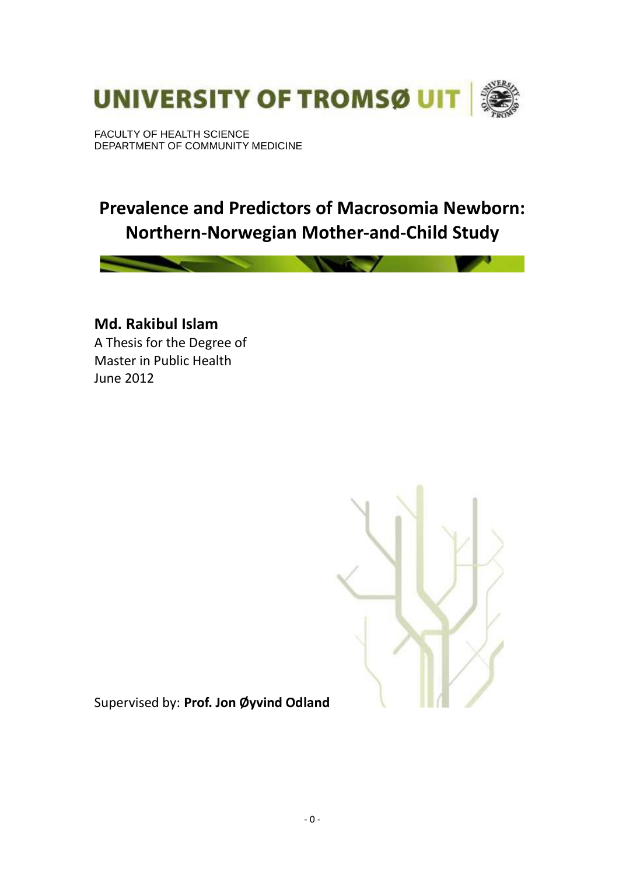

FACULTY OF HEALTH SCIENCE DEPARTMENT OF COMMUNITY MEDICINE

# **Prevalence and Predictors of Macrosomia Newborn: Northern-Norwegian Mother-and-Child Study**

**Md. Rakibul Islam**  A Thesis for the Degree of Master in Public Health June 2012



Supervised by: **Prof. Jon Øyvind Odland**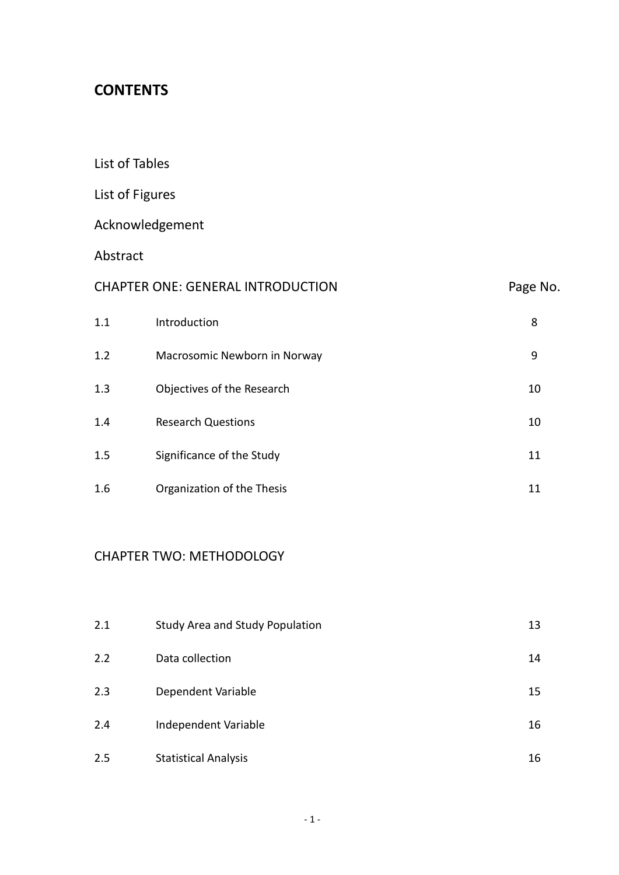# **CONTENTS**

List of Tables

# List of Figures

# Acknowledgement

Abstract

| <b>CHAPTER ONE: GENERAL INTRODUCTION</b> |                              | Page No. |
|------------------------------------------|------------------------------|----------|
| 1.1                                      | Introduction                 | 8        |
| 1.2                                      | Macrosomic Newborn in Norway | 9        |
| 1.3                                      | Objectives of the Research   | 10       |
| 1.4                                      | <b>Research Questions</b>    | 10       |
| 1.5                                      | Significance of the Study    | 11       |
| 1.6                                      | Organization of the Thesis   | 11       |

# CHAPTER TWO: METHODOLOGY

| 2.1 | <b>Study Area and Study Population</b> | 13 |
|-----|----------------------------------------|----|
| 2.2 | Data collection                        | 14 |
| 2.3 | Dependent Variable                     | 15 |
| 2.4 | Independent Variable                   | 16 |
| 2.5 | <b>Statistical Analysis</b>            | 16 |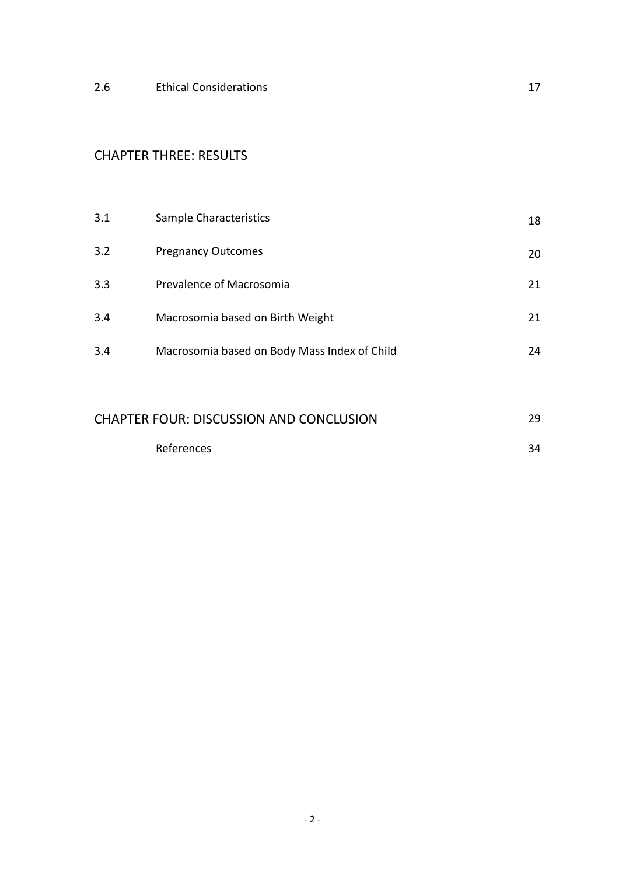2.6 Ethical Considerations **17** 

# CHAPTER THREE: RESULTS

| 3.1 | Sample Characteristics                       | 18 |
|-----|----------------------------------------------|----|
| 3.2 | <b>Pregnancy Outcomes</b>                    | 20 |
| 3.3 | Prevalence of Macrosomia                     | 21 |
| 3.4 | Macrosomia based on Birth Weight             | 21 |
| 3.4 | Macrosomia based on Body Mass Index of Child | 24 |

| <b>CHAPTER FOUR: DISCUSSION AND CONCLUSION</b> |  |
|------------------------------------------------|--|
| References                                     |  |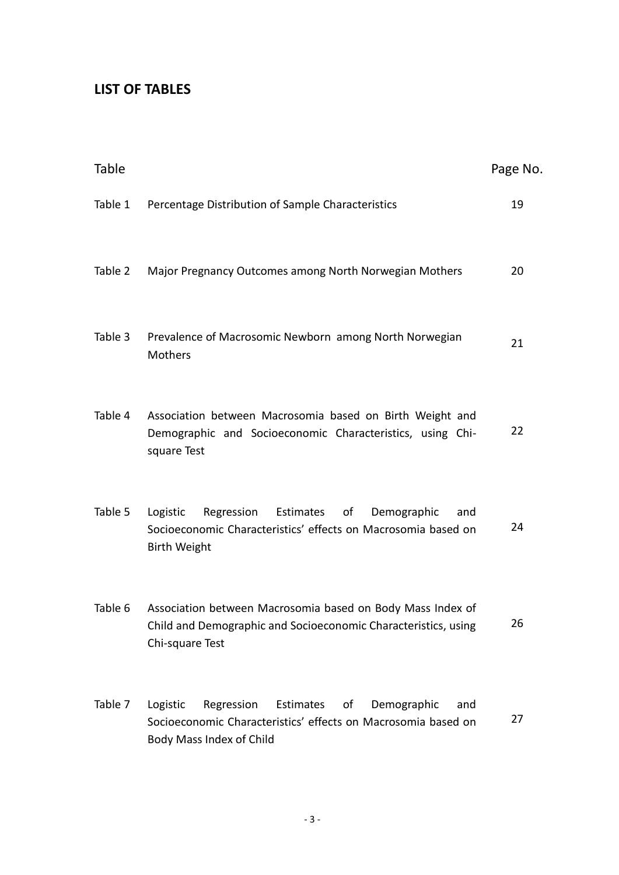# **LIST OF TABLES**

| Table   |                                                                                                                                                              | Page No. |
|---------|--------------------------------------------------------------------------------------------------------------------------------------------------------------|----------|
| Table 1 | Percentage Distribution of Sample Characteristics                                                                                                            | 19       |
| Table 2 | Major Pregnancy Outcomes among North Norwegian Mothers                                                                                                       | 20       |
| Table 3 | Prevalence of Macrosomic Newborn among North Norwegian<br>Mothers                                                                                            | 21       |
| Table 4 | Association between Macrosomia based on Birth Weight and<br>Demographic and Socioeconomic Characteristics, using Chi-<br>square Test                         | 22       |
| Table 5 | Estimates of<br>Logistic<br>Regression<br>Demographic<br>and<br>Socioeconomic Characteristics' effects on Macrosomia based on<br><b>Birth Weight</b>         | 24       |
| Table 6 | Association between Macrosomia based on Body Mass Index of<br>Child and Demographic and Socioeconomic Characteristics, using<br>Chi-square Test              | 26       |
| Table 7 | Logistic<br>Regression<br>Estimates<br>οf<br>Demographic<br>and<br>Socioeconomic Characteristics' effects on Macrosomia based on<br>Body Mass Index of Child | 27       |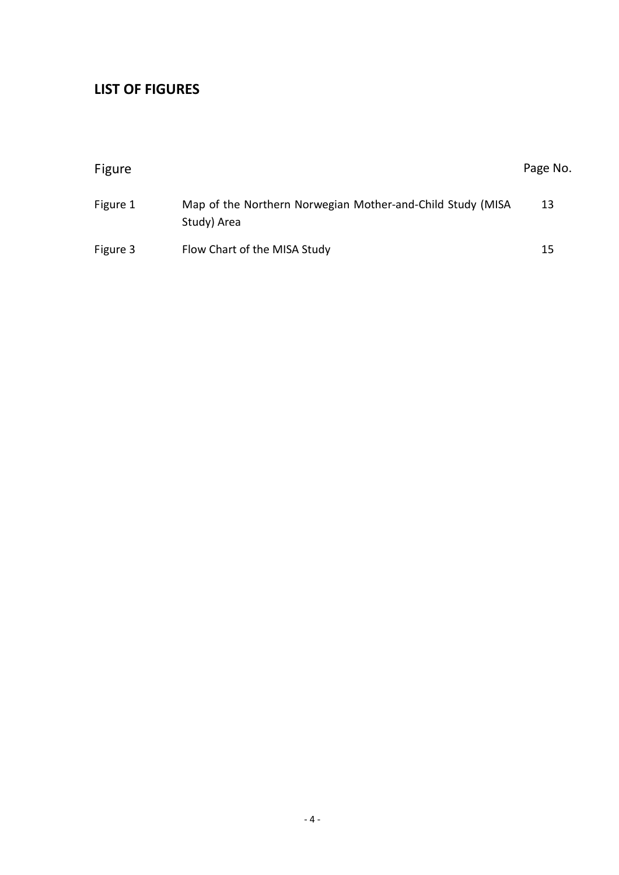# **LIST OF FIGURES**

| Figure   |                                                                           | Page No. |
|----------|---------------------------------------------------------------------------|----------|
| Figure 1 | Map of the Northern Norwegian Mother-and-Child Study (MISA<br>Study) Area | 13       |
| Figure 3 | Flow Chart of the MISA Study                                              | 15       |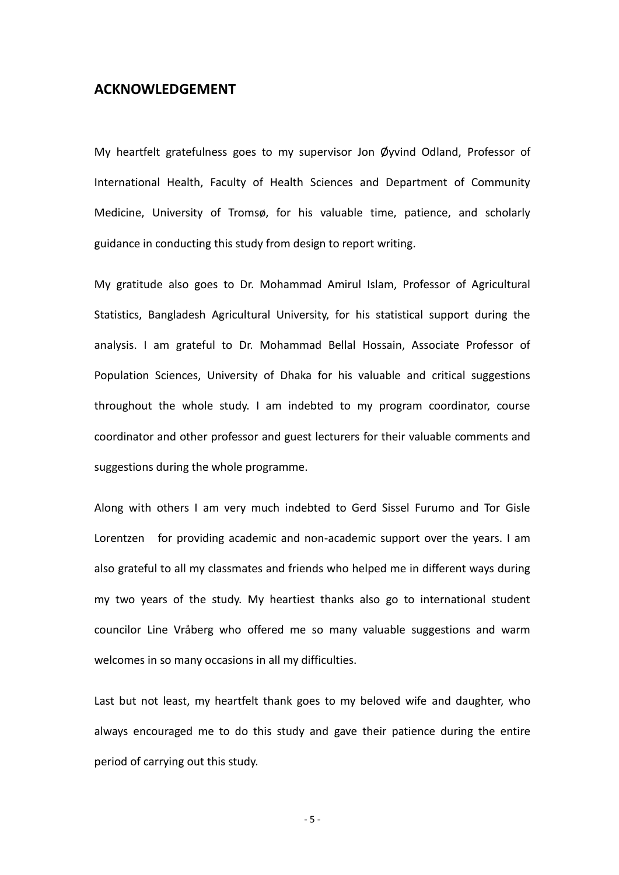#### **ACKNOWLEDGEMENT**

My heartfelt gratefulness goes to my supervisor Jon Øyvind Odland, Professor of International Health, Faculty of Health Sciences and Department of Community Medicine, University of Tromsø, for his valuable time, patience, and scholarly guidance in conducting this study from design to report writing.

My gratitude also goes to Dr. Mohammad Amirul Islam, Professor of Agricultural Statistics, Bangladesh Agricultural University, for his statistical support during the analysis. I am grateful to Dr. Mohammad Bellal Hossain, Associate Professor of Population Sciences, University of Dhaka for his valuable and critical suggestions throughout the whole study. I am indebted to my program coordinator, course coordinator and other professor and guest lecturers for their valuable comments and suggestions during the whole programme.

Along with others I am very much indebted to Gerd Sissel Furumo and Tor Gisle Lorentzen for providing academic and non-academic support over the years. I am also grateful to all my classmates and friends who helped me in different ways during my two years of the study. My heartiest thanks also go to international student councilor Line Vråberg who offered me so many valuable suggestions and warm welcomes in so many occasions in all my difficulties.

Last but not least, my heartfelt thank goes to my beloved wife and daughter, who always encouraged me to do this study and gave their patience during the entire period of carrying out this study.

- 5 -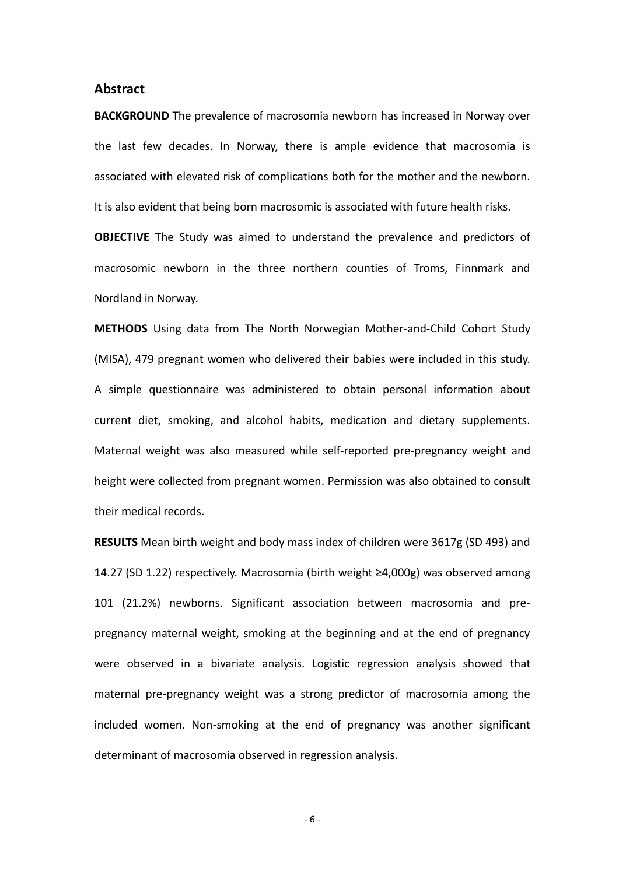#### **Abstract**

**BACKGROUND** The prevalence of macrosomia newborn has increased in Norway over the last few decades. In Norway, there is ample evidence that macrosomia is associated with elevated risk of complications both for the mother and the newborn. It is also evident that being born macrosomic is associated with future health risks.

**OBJECTIVE** The Study was aimed to understand the prevalence and predictors of macrosomic newborn in the three northern counties of Troms, Finnmark and Nordland in Norway.

**METHODS** Using data from The North Norwegian Mother-and-Child Cohort Study (MISA), 479 pregnant women who delivered their babies were included in this study. A simple questionnaire was administered to obtain personal information about current diet, smoking, and alcohol habits, medication and dietary supplements. Maternal weight was also measured while self-reported pre-pregnancy weight and height were collected from pregnant women. Permission was also obtained to consult their medical records.

**RESULTS** Mean birth weight and body mass index of children were 3617g (SD 493) and 14.27 (SD 1.22) respectively. Macrosomia (birth weight ≥4,000g) was observed among 101 (21.2%) newborns. Significant association between macrosomia and prepregnancy maternal weight, smoking at the beginning and at the end of pregnancy were observed in a bivariate analysis. Logistic regression analysis showed that maternal pre-pregnancy weight was a strong predictor of macrosomia among the included women. Non-smoking at the end of pregnancy was another significant determinant of macrosomia observed in regression analysis.

- 6 -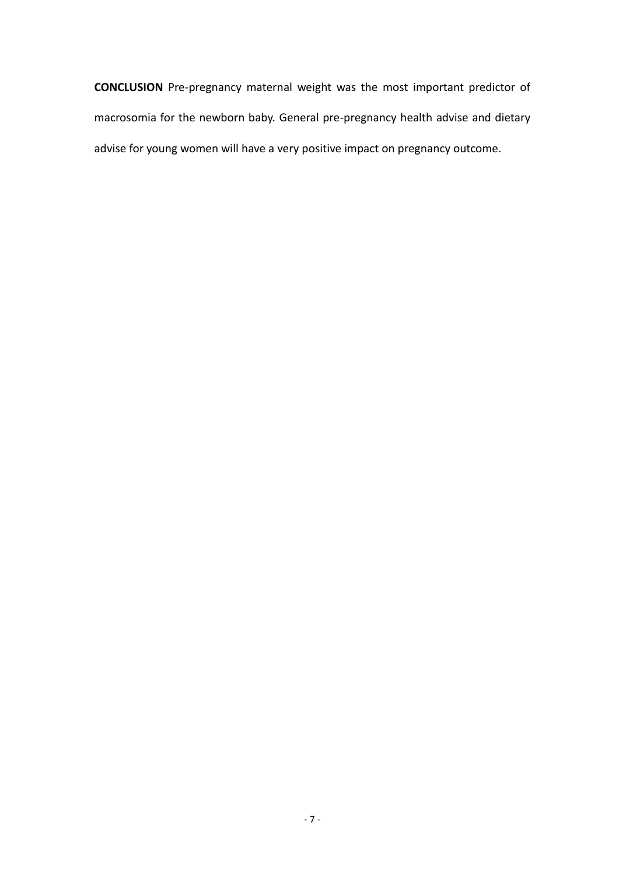**CONCLUSION** Pre-pregnancy maternal weight was the most important predictor of macrosomia for the newborn baby. General pre-pregnancy health advise and dietary advise for young women will have a very positive impact on pregnancy outcome.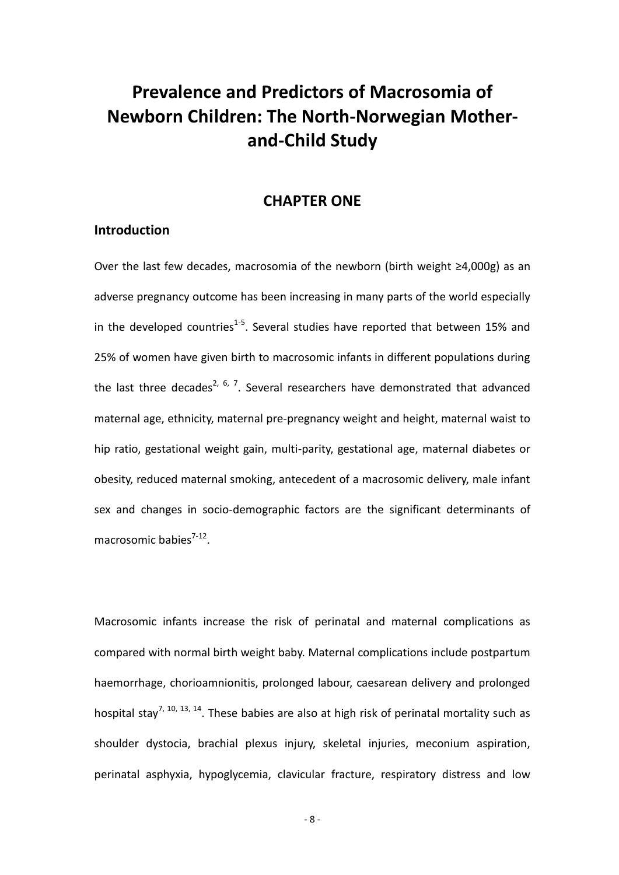# **Prevalence and Predictors of Macrosomia of Newborn Children: The North-Norwegian Motherand-Child Study**

### **CHAPTER ONE**

#### **Introduction**

Over the last few decades, macrosomia of the newborn (birth weight ≥4,000g) as an adverse pregnancy outcome has been increasing in many parts of the world especially in the developed countries<sup>1-5</sup>. Several studies have reported that between 15% and 25% of women have given birth to macrosomic infants in different populations during the last three decades<sup>2, 6, 7</sup>. Several researchers have demonstrated that advanced maternal age, ethnicity, maternal pre-pregnancy weight and height, maternal waist to hip ratio, gestational weight gain, multi-parity, gestational age, maternal diabetes or obesity, reduced maternal smoking, antecedent of a macrosomic delivery, male infant sex and changes in socio-demographic factors are the significant determinants of macrosomic babies<sup>7-12</sup>.

Macrosomic infants increase the risk of perinatal and maternal complications as compared with normal birth weight baby. Maternal complications include postpartum haemorrhage, chorioamnionitis, prolonged labour, caesarean delivery and prolonged hospital stay<sup>7, 10, 13, 14</sup>. These babies are also at high risk of perinatal mortality such as shoulder dystocia, brachial plexus injury, skeletal injuries, meconium aspiration, perinatal asphyxia, hypoglycemia, clavicular fracture, respiratory distress and low

- 8 -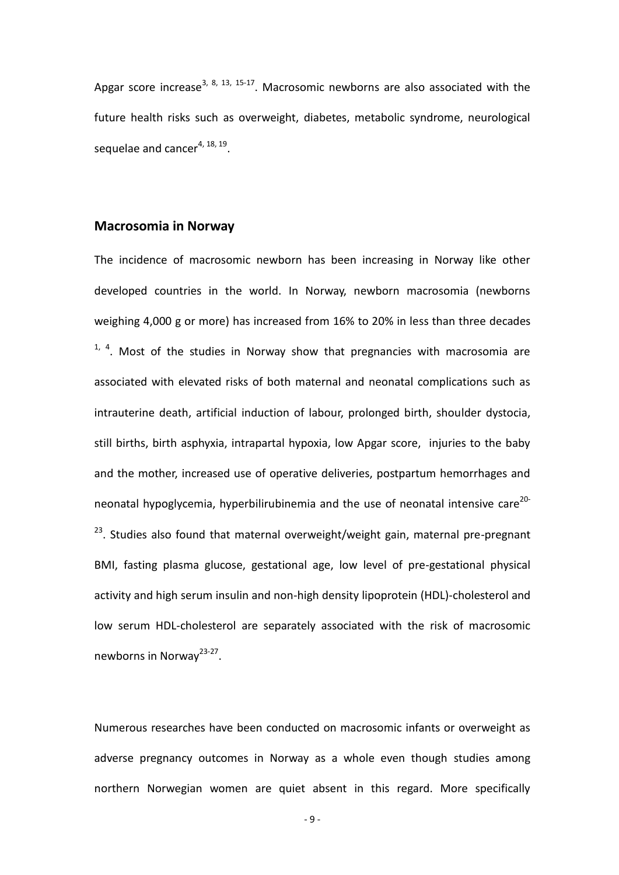Apgar score increase<sup>3, 8, 13, 15-17</sup>. Macrosomic newborns are also associated with the future health risks such as overweight, diabetes, metabolic syndrome, neurological sequelae and cancer<sup>4, 18, 19</sup>.

#### **Macrosomia in Norway**

The incidence of macrosomic newborn has been increasing in Norway like other developed countries in the world. In Norway, newborn macrosomia (newborns weighing 4,000 g or more) has increased from 16% to 20% in less than three decades  $1, 4$ . Most of the studies in Norway show that pregnancies with macrosomia are associated with elevated risks of both maternal and neonatal complications such as intrauterine death, artificial induction of labour, prolonged birth, shoulder dystocia, still births, birth asphyxia, intrapartal hypoxia, low Apgar score, injuries to the baby and the mother, increased use of operative deliveries, postpartum hemorrhages and neonatal hypoglycemia, hyperbilirubinemia and the use of neonatal intensive care<sup>20-</sup> <sup>23</sup>. Studies also found that maternal overweight/weight gain, maternal pre-pregnant BMI, fasting plasma glucose, gestational age, low level of pre-gestational physical activity and high serum insulin and non-high density lipoprotein (HDL)-cholesterol and low serum HDL-cholesterol are separately associated with the risk of macrosomic newborns in Norway<sup>23-27</sup>.

Numerous researches have been conducted on macrosomic infants or overweight as adverse pregnancy outcomes in Norway as a whole even though studies among northern Norwegian women are quiet absent in this regard. More specifically

- 9 -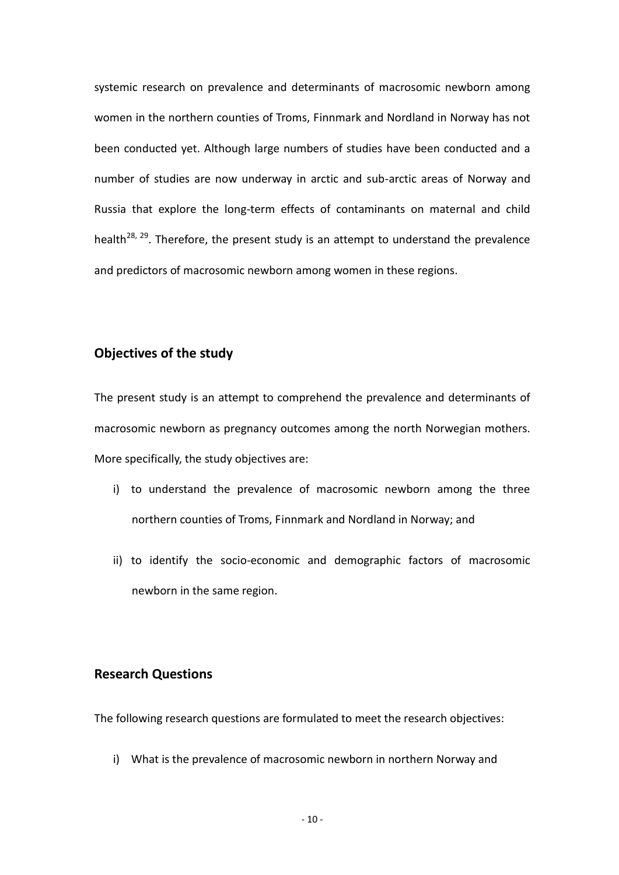systemic research on prevalence and determinants of macrosomic newborn among women in the northern counties of Troms, Finnmark and Nordland in Norway has not been conducted yet. Although large numbers of studies have been conducted and a number of studies are now underway in arctic and sub-arctic areas of Norway and Russia that explore the long-term effects of contaminants on maternal and child health<sup>28, 29</sup>. Therefore, the present study is an attempt to understand the prevalence and predictors of macrosomic newborn among women in these regions.

#### **Objectives of the study**

The present study is an attempt to comprehend the prevalence and determinants of macrosomic newborn as pregnancy outcomes among the north Norwegian mothers. More specifically, the study objectives are:

- i) to understand the prevalence of macrosomic newborn among the three northern counties of Troms, Finnmark and Nordland in Norway; and
- ii) to identify the socio-economic and demographic factors of macrosomic newborn in the same region.

#### **Research Questions**

The following research questions are formulated to meet the research objectives:

i) What is the prevalence of macrosomic newborn in northern Norway and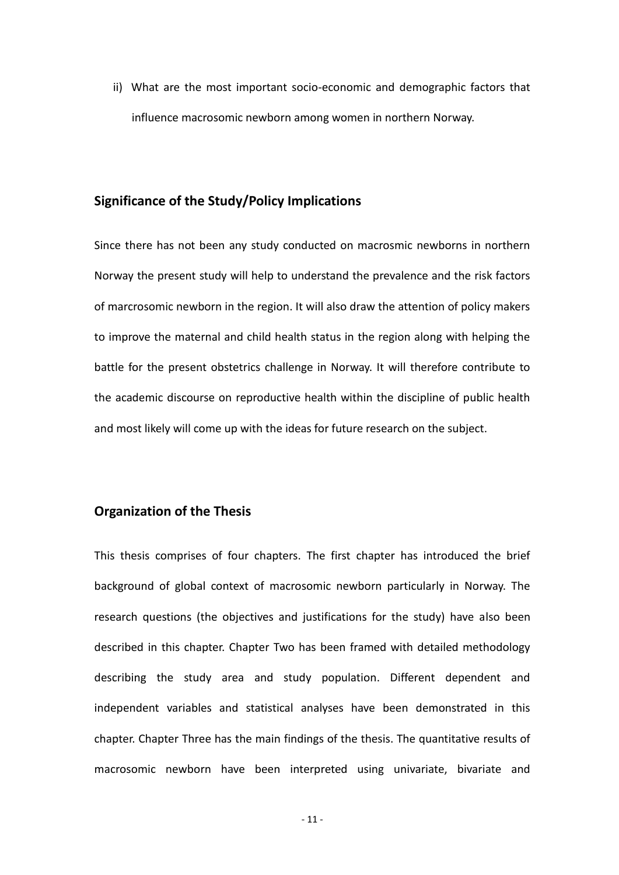ii) What are the most important socio-economic and demographic factors that influence macrosomic newborn among women in northern Norway.

#### **Significance of the Study/Policy Implications**

Since there has not been any study conducted on macrosmic newborns in northern Norway the present study will help to understand the prevalence and the risk factors of marcrosomic newborn in the region. It will also draw the attention of policy makers to improve the maternal and child health status in the region along with helping the battle for the present obstetrics challenge in Norway. It will therefore contribute to the academic discourse on reproductive health within the discipline of public health and most likely will come up with the ideas for future research on the subject.

#### **Organization of the Thesis**

This thesis comprises of four chapters. The first chapter has introduced the brief background of global context of macrosomic newborn particularly in Norway. The research questions (the objectives and justifications for the study) have also been described in this chapter. Chapter Two has been framed with detailed methodology describing the study area and study population. Different dependent and independent variables and statistical analyses have been demonstrated in this chapter. Chapter Three has the main findings of the thesis. The quantitative results of macrosomic newborn have been interpreted using univariate, bivariate and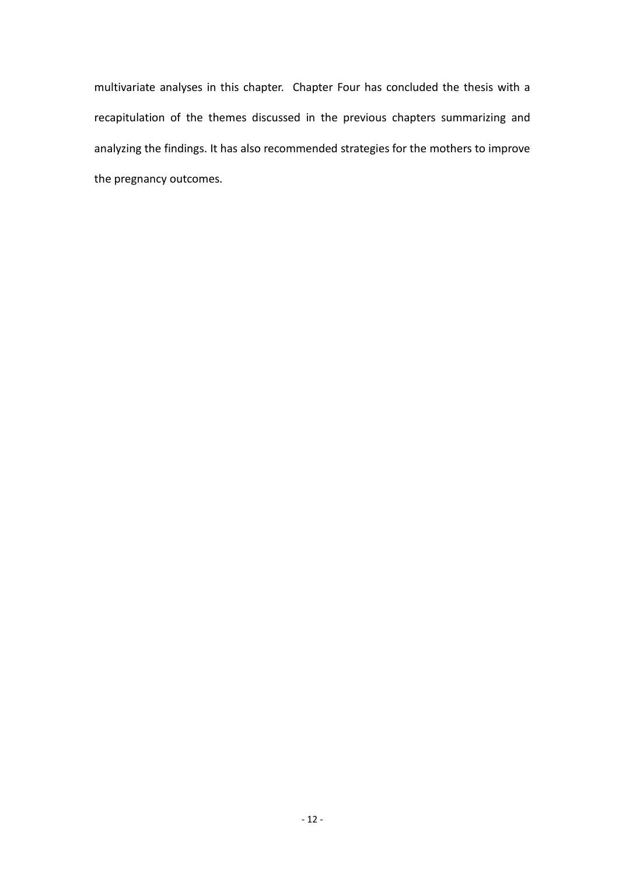multivariate analyses in this chapter. Chapter Four has concluded the thesis with a recapitulation of the themes discussed in the previous chapters summarizing and analyzing the findings. It has also recommended strategies for the mothers to improve the pregnancy outcomes.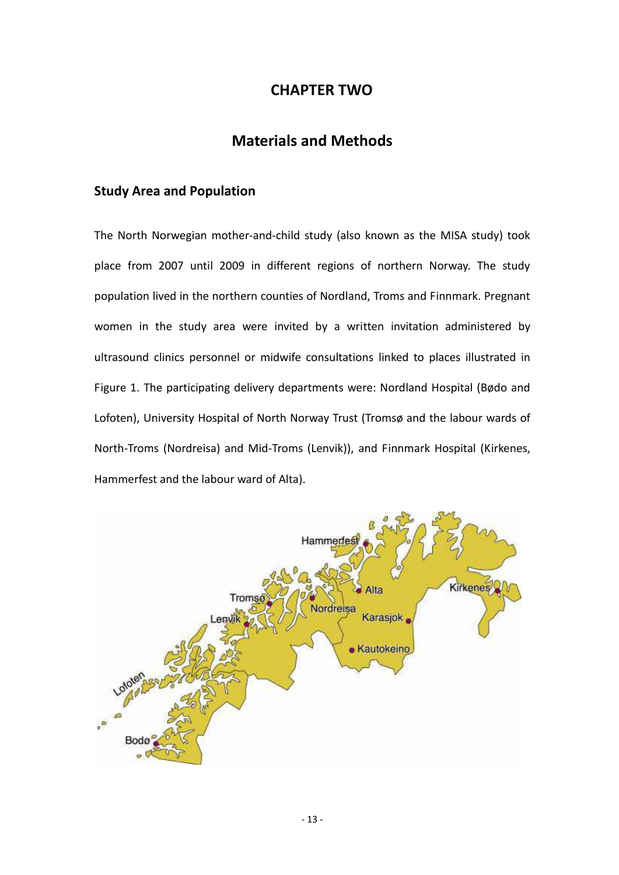# **CHAPTER TWO**

# **Materials and Methods**

### **Study Area and Population**

The North Norwegian mother-and-child study (also known as the MISA study) took place from 2007 until 2009 in different regions of northern Norway. The study population lived in the northern counties of Nordland, Troms and Finnmark. Pregnant women in the study area were invited by a written invitation administered by ultrasound clinics personnel or midwife consultations linked to places illustrated in Figure 1. The participating delivery departments were: Nordland Hospital (Bødo and Lofoten), University Hospital of North Norway Trust (Tromsø and the labour wards of North-Troms (Nordreisa) and Mid-Troms (Lenvik)), and Finnmark Hospital (Kirkenes, Hammerfest and the labour ward of Alta).

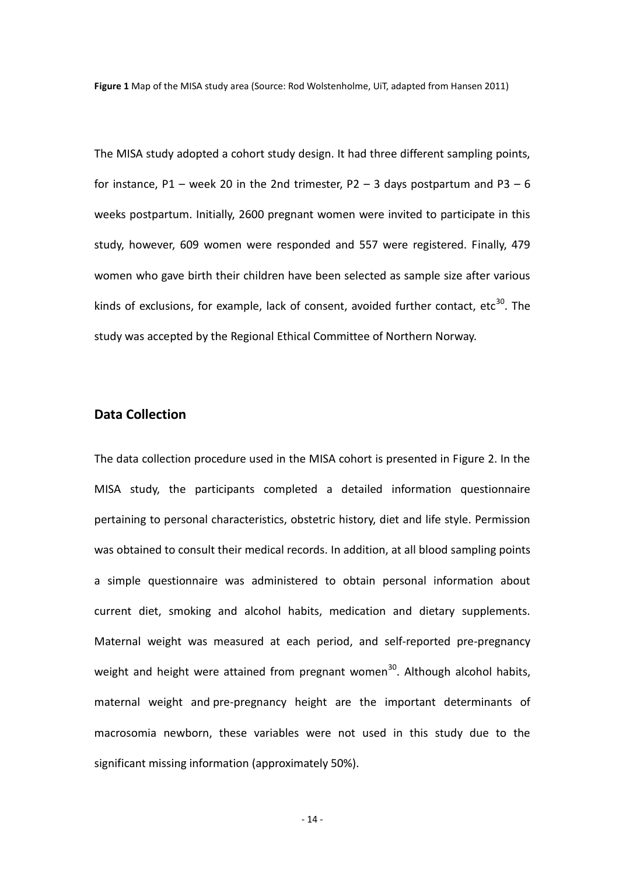**Figure 1** Map of the MISA study area (Source: Rod Wolstenholme, UiT, adapted from Hansen 2011)

The MISA study adopted a cohort study design. It had three different sampling points, for instance, P1 – week 20 in the 2nd trimester, P2 – 3 days postpartum and P3 – 6 weeks postpartum. Initially, 2600 pregnant women were invited to participate in this study, however, 609 women were responded and 557 were registered. Finally, 479 women who gave birth their children have been selected as sample size after various kinds of exclusions, for example, lack of consent, avoided further contact, etc $^{30}$ . The study was accepted by the Regional Ethical Committee of Northern Norway.

#### **Data Collection**

The data collection procedure used in the MISA cohort is presented in Figure 2. In the MISA study, the participants completed a detailed information questionnaire pertaining to personal characteristics, obstetric history, diet and life style. Permission was obtained to consult their medical records. In addition, at all blood sampling points a simple questionnaire was administered to obtain personal information about current diet, smoking and alcohol habits, medication and dietary supplements. Maternal weight was measured at each period, and self-reported pre-pregnancy weight and height were attained from pregnant women<sup>30</sup>. Although alcohol habits, maternal weight and pre-pregnancy height are the important determinants of macrosomia newborn, these variables were not used in this study due to the significant missing information (approximately 50%).

- 14 -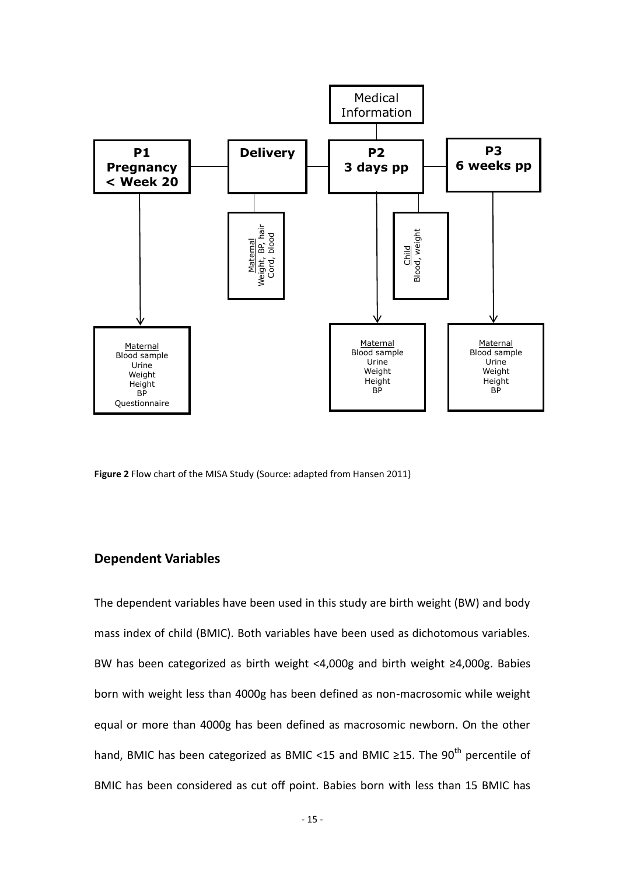

**Figure 2** Flow chart of the MISA Study (Source: adapted from Hansen 2011)

#### **Dependent Variables**

The dependent variables have been used in this study are birth weight (BW) and body mass index of child (BMIC). Both variables have been used as dichotomous variables. BW has been categorized as birth weight <4,000g and birth weight ≥4,000g. Babies born with weight less than 4000g has been defined as non-macrosomic while weight equal or more than 4000g has been defined as macrosomic newborn. On the other hand, BMIC has been categorized as BMIC <15 and BMIC ≥15. The 90<sup>th</sup> percentile of BMIC has been considered as cut off point. Babies born with less than 15 BMIC has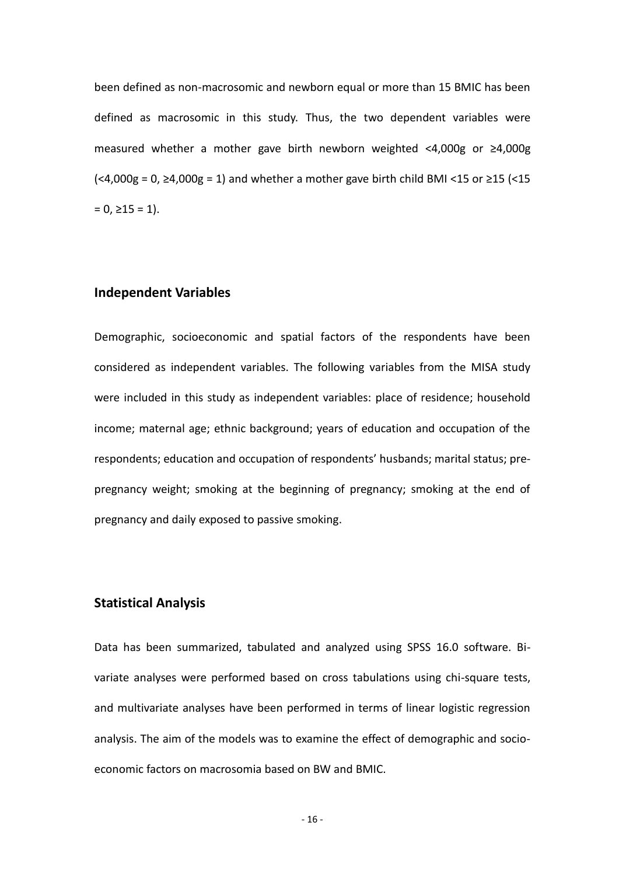been defined as non-macrosomic and newborn equal or more than 15 BMIC has been defined as macrosomic in this study. Thus, the two dependent variables were measured whether a mother gave birth newborn weighted <4,000g or ≥4,000g  $\left($  <4,000g = 0,  $\geq$ 4,000g = 1) and whether a mother gave birth child BMI <15 or  $\geq$ 15 (<15  $= 0, \ge 15 = 1$ .

### **Independent Variables**

Demographic, socioeconomic and spatial factors of the respondents have been considered as independent variables. The following variables from the MISA study were included in this study as independent variables: place of residence; household income; maternal age; ethnic background; years of education and occupation of the respondents; education and occupation of respondents' husbands; marital status; prepregnancy weight; smoking at the beginning of pregnancy; smoking at the end of pregnancy and daily exposed to passive smoking.

#### **Statistical Analysis**

Data has been summarized, tabulated and analyzed using SPSS 16.0 software. Bivariate analyses were performed based on cross tabulations using chi-square tests, and multivariate analyses have been performed in terms of linear logistic regression analysis. The aim of the models was to examine the effect of demographic and socioeconomic factors on macrosomia based on BW and BMIC.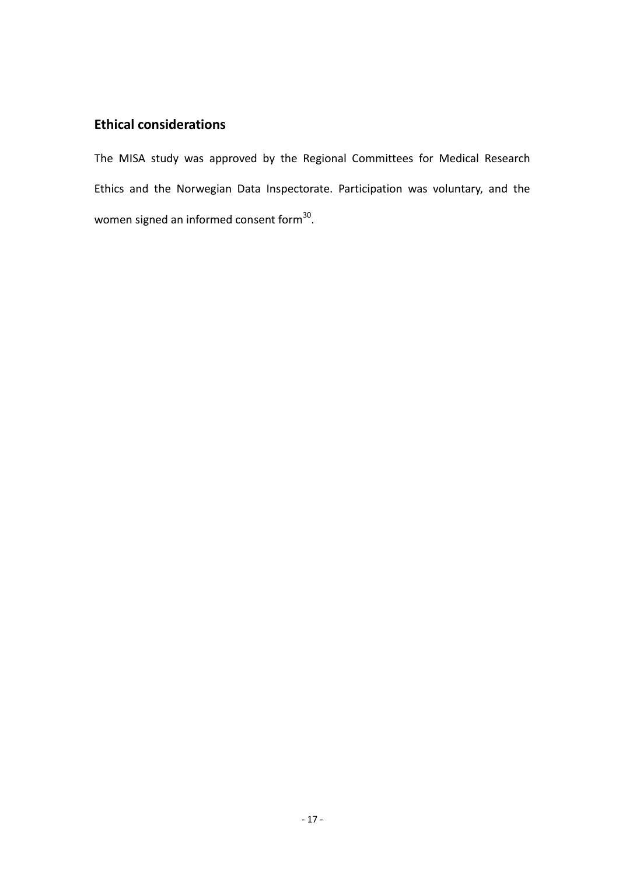# **Ethical considerations**

The MISA study was approved by the Regional Committees for Medical Research Ethics and the Norwegian Data Inspectorate. Participation was voluntary, and the women signed an informed consent form $^{30}$ .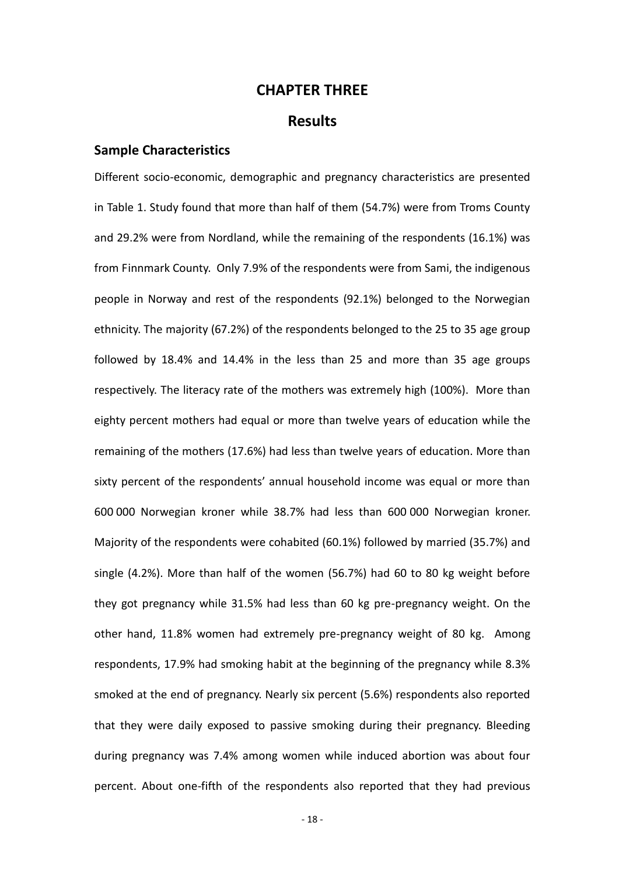### **CHAPTER THREE**

### **Results**

#### **Sample Characteristics**

Different socio-economic, demographic and pregnancy characteristics are presented in Table 1. Study found that more than half of them (54.7%) were from Troms County and 29.2% were from Nordland, while the remaining of the respondents (16.1%) was from Finnmark County. Only 7.9% of the respondents were from Sami, the indigenous people in Norway and rest of the respondents (92.1%) belonged to the Norwegian ethnicity. The majority (67.2%) of the respondents belonged to the 25 to 35 age group followed by 18.4% and 14.4% in the less than 25 and more than 35 age groups respectively. The literacy rate of the mothers was extremely high (100%). More than eighty percent mothers had equal or more than twelve years of education while the remaining of the mothers (17.6%) had less than twelve years of education. More than sixty percent of the respondents' annual household income was equal or more than 600 000 Norwegian kroner while 38.7% had less than 600 000 Norwegian kroner. Majority of the respondents were cohabited (60.1%) followed by married (35.7%) and single (4.2%). More than half of the women (56.7%) had 60 to 80 kg weight before they got pregnancy while 31.5% had less than 60 kg pre-pregnancy weight. On the other hand, 11.8% women had extremely pre-pregnancy weight of 80 kg. Among respondents, 17.9% had smoking habit at the beginning of the pregnancy while 8.3% smoked at the end of pregnancy. Nearly six percent (5.6%) respondents also reported that they were daily exposed to passive smoking during their pregnancy. Bleeding during pregnancy was 7.4% among women while induced abortion was about four percent. About one-fifth of the respondents also reported that they had previous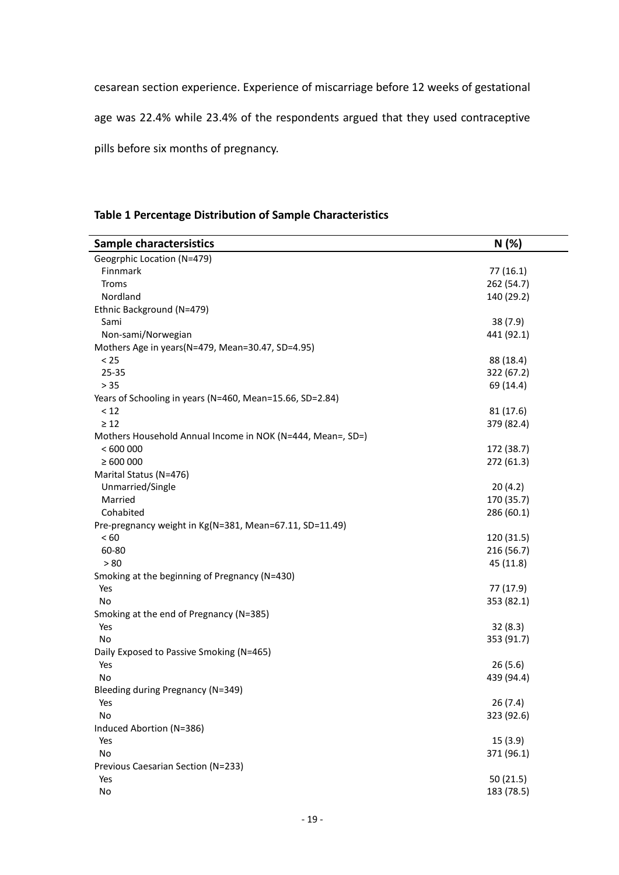cesarean section experience. Experience of miscarriage before 12 weeks of gestational

age was 22.4% while 23.4% of the respondents argued that they used contraceptive

pills before six months of pregnancy.

## **Table 1 Percentage Distribution of Sample Characteristics**

| <b>Sample charactersistics</b>                             | N(%)       |
|------------------------------------------------------------|------------|
| Geogrphic Location (N=479)                                 |            |
| Finnmark                                                   | 77(16.1)   |
| Troms                                                      | 262 (54.7) |
| Nordland                                                   | 140 (29.2) |
| Ethnic Background (N=479)                                  |            |
| Sami                                                       | 38(7.9)    |
| Non-sami/Norwegian                                         | 441 (92.1) |
| Mothers Age in years(N=479, Mean=30.47, SD=4.95)           |            |
| < 25                                                       | 88 (18.4)  |
| 25-35                                                      | 322 (67.2) |
| > 35                                                       | 69 (14.4)  |
| Years of Schooling in years (N=460, Mean=15.66, SD=2.84)   |            |
| < 12                                                       | 81 (17.6)  |
| $\geq 12$                                                  | 379 (82.4) |
| Mothers Household Annual Income in NOK (N=444, Mean=, SD=) |            |
| < 600000                                                   | 172 (38.7) |
| $\geq 600000$                                              | 272 (61.3) |
| Marital Status (N=476)                                     |            |
| Unmarried/Single                                           | 20(4.2)    |
| Married                                                    | 170 (35.7) |
| Cohabited                                                  | 286 (60.1) |
| Pre-pregnancy weight in Kg(N=381, Mean=67.11, SD=11.49)    |            |
| < 60                                                       | 120 (31.5) |
| 60-80                                                      | 216 (56.7) |
| > 80                                                       | 45 (11.8)  |
| Smoking at the beginning of Pregnancy (N=430)              |            |
| Yes                                                        | 77 (17.9)  |
| No                                                         | 353 (82.1) |
| Smoking at the end of Pregnancy (N=385)                    |            |
| Yes                                                        | 32(8.3)    |
| No                                                         | 353 (91.7) |
| Daily Exposed to Passive Smoking (N=465)                   |            |
| Yes                                                        | 26(5.6)    |
| No                                                         | 439 (94.4) |
| Bleeding during Pregnancy (N=349)                          |            |
| Yes                                                        | 26(7.4)    |
| No                                                         | 323 (92.6) |
| Induced Abortion (N=386)                                   |            |
| Yes                                                        | 15(3.9)    |
| No                                                         | 371 (96.1) |
| Previous Caesarian Section (N=233)                         |            |
| Yes                                                        | 50 (21.5)  |
| No                                                         | 183 (78.5) |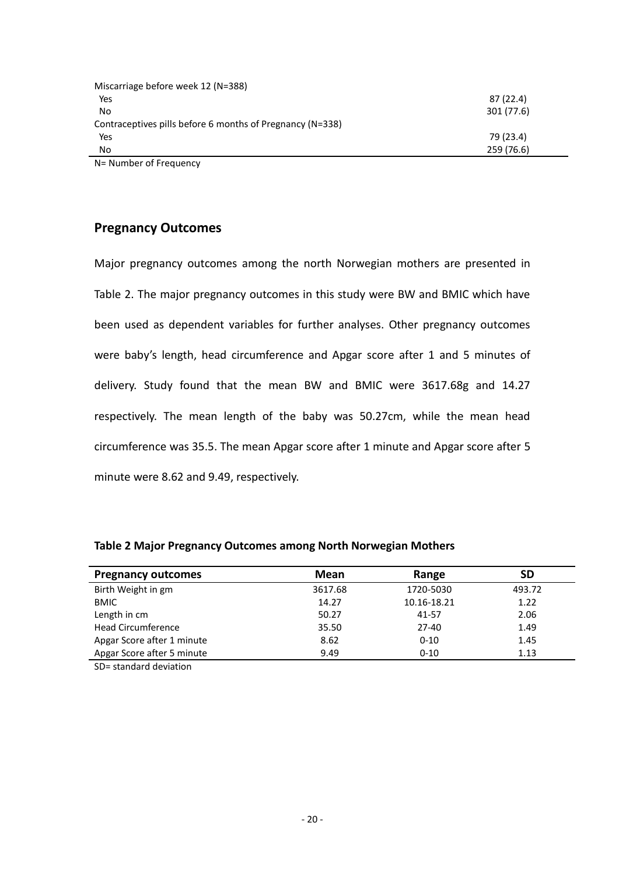| Miscarriage before week 12 (N=388)                        |            |
|-----------------------------------------------------------|------------|
| Yes                                                       | 87 (22.4)  |
| No                                                        | 301 (77.6) |
| Contraceptives pills before 6 months of Pregnancy (N=338) |            |
| Yes                                                       | 79 (23.4)  |
| No.                                                       | 259 (76.6) |
| N= Number of Frequency                                    |            |

**Pregnancy Outcomes**

Major pregnancy outcomes among the north Norwegian mothers are presented in Table 2. The major pregnancy outcomes in this study were BW and BMIC which have been used as dependent variables for further analyses. Other pregnancy outcomes were baby's length, head circumference and Apgar score after 1 and 5 minutes of delivery. Study found that the mean BW and BMIC were 3617.68g and 14.27 respectively. The mean length of the baby was 50.27cm, while the mean head circumference was 35.5. The mean Apgar score after 1 minute and Apgar score after 5 minute were 8.62 and 9.49, respectively.

| <b>Pregnancy outcomes</b>  | Mean    | Range       | SD     |
|----------------------------|---------|-------------|--------|
| Birth Weight in gm         | 3617.68 | 1720-5030   | 493.72 |
| <b>BMIC</b>                | 14.27   | 10.16-18.21 | 1.22   |
| Length in cm               | 50.27   | 41-57       | 2.06   |
| <b>Head Circumference</b>  | 35.50   | $27-40$     | 1.49   |
| Apgar Score after 1 minute | 8.62    | $0 - 10$    | 1.45   |
| Apgar Score after 5 minute | 9.49    | $0 - 10$    | 1.13   |

**Table 2 Major Pregnancy Outcomes among North Norwegian Mothers**

SD= standard deviation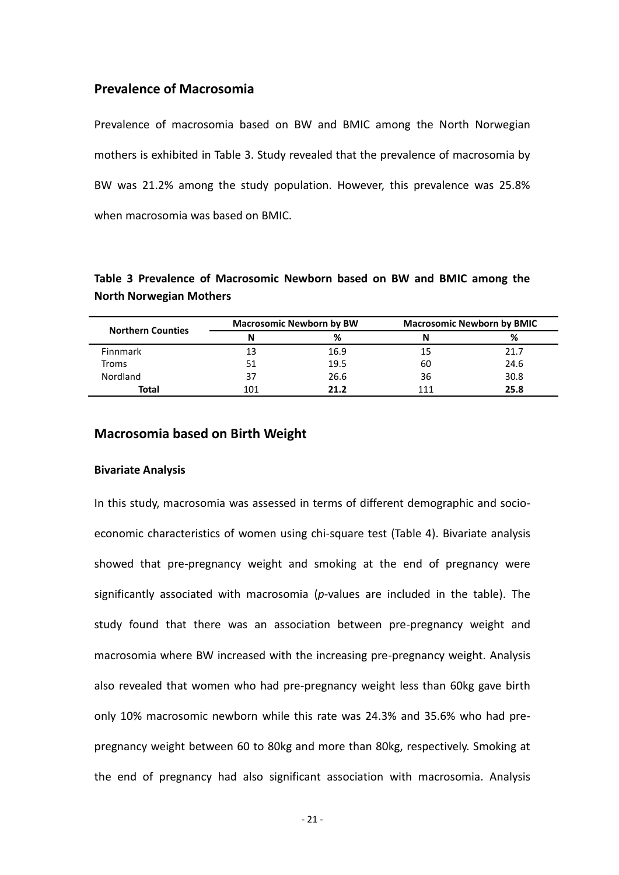#### **Prevalence of Macrosomia**

Prevalence of macrosomia based on BW and BMIC among the North Norwegian mothers is exhibited in Table 3. Study revealed that the prevalence of macrosomia by BW was 21.2% among the study population. However, this prevalence was 25.8% when macrosomia was based on BMIC.

### **Table 3 Prevalence of Macrosomic Newborn based on BW and BMIC among the North Norwegian Mothers**

| <b>Northern Counties</b> | <b>Macrosomic Newborn by BW</b> |      | <b>Macrosomic Newborn by BMIC</b> |      |
|--------------------------|---------------------------------|------|-----------------------------------|------|
|                          |                                 | ℅    | N                                 | %    |
| <b>Finnmark</b>          |                                 | 16.9 | 15                                | 21.7 |
| Troms                    | 51                              | 19.5 | 60                                | 24.6 |
| Nordland                 | 37                              | 26.6 | 36                                | 30.8 |
| <b>Total</b>             | 101                             | 21.2 |                                   | 25.8 |

#### **Macrosomia based on Birth Weight**

#### **Bivariate Analysis**

In this study, macrosomia was assessed in terms of different demographic and socioeconomic characteristics of women using chi-square test (Table 4). Bivariate analysis showed that pre-pregnancy weight and smoking at the end of pregnancy were significantly associated with macrosomia (*p*-values are included in the table). The study found that there was an association between pre-pregnancy weight and macrosomia where BW increased with the increasing pre-pregnancy weight. Analysis also revealed that women who had pre-pregnancy weight less than 60kg gave birth only 10% macrosomic newborn while this rate was 24.3% and 35.6% who had prepregnancy weight between 60 to 80kg and more than 80kg, respectively. Smoking at the end of pregnancy had also significant association with macrosomia. Analysis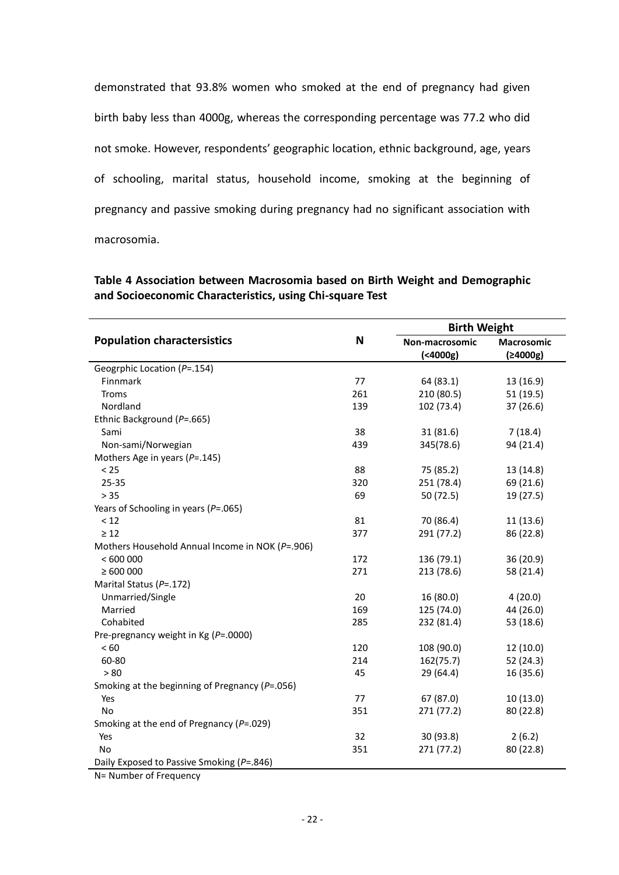demonstrated that 93.8% women who smoked at the end of pregnancy had given birth baby less than 4000g, whereas the corresponding percentage was 77.2 who did not smoke. However, respondents' geographic location, ethnic background, age, years of schooling, marital status, household income, smoking at the beginning of pregnancy and passive smoking during pregnancy had no significant association with macrosomia.

| Table 4 Association between Macrosomia based on Birth Weight and Demographic |
|------------------------------------------------------------------------------|
| and Socioeconomic Characteristics, using Chi-square Test                     |
|                                                                              |

|                                                      | N   | <b>Birth Weight</b> |            |
|------------------------------------------------------|-----|---------------------|------------|
| <b>Population charactersistics</b>                   |     | Non-macrosomic      | Macrosomic |
|                                                      |     | $(4000g)$           | (≥4000g)   |
| Geogrphic Location (P=.154)                          |     |                     |            |
| Finnmark                                             | 77  | 64 (83.1)           | 13 (16.9)  |
| Troms                                                | 261 | 210 (80.5)          | 51(19.5)   |
| Nordland                                             | 139 | 102 (73.4)          | 37 (26.6)  |
| Ethnic Background (P=.665)                           |     |                     |            |
| Sami                                                 | 38  | 31(81.6)            | 7(18.4)    |
| Non-sami/Norwegian                                   | 439 | 345(78.6)           | 94 (21.4)  |
| Mothers Age in years ( $P = .145$ )                  |     |                     |            |
| < 25                                                 | 88  | 75 (85.2)           | 13 (14.8)  |
| 25-35                                                | 320 | 251 (78.4)          | 69 (21.6)  |
| > 35                                                 | 69  | 50 (72.5)           | 19 (27.5)  |
| Years of Schooling in years ( $P = .065$ )           |     |                     |            |
| < 12                                                 | 81  | 70 (86.4)           | 11(13.6)   |
| $\geq 12$                                            | 377 | 291 (77.2)          | 86 (22.8)  |
| Mothers Household Annual Income in NOK (P=.906)      |     |                     |            |
| <600000                                              | 172 | 136 (79.1)          | 36 (20.9)  |
| $\geq 600000$                                        | 271 | 213 (78.6)          | 58 (21.4)  |
| Marital Status (P=.172)                              |     |                     |            |
| Unmarried/Single                                     | 20  | 16 (80.0)           | 4(20.0)    |
| Married                                              | 169 | 125 (74.0)          | 44 (26.0)  |
| Cohabited                                            | 285 | 232 (81.4)          | 53 (18.6)  |
| Pre-pregnancy weight in Kg ( $P = .0000$ )           |     |                     |            |
| < 60                                                 | 120 | 108 (90.0)          | 12 (10.0)  |
| 60-80                                                | 214 | 162(75.7)           | 52 (24.3)  |
| > 80                                                 | 45  | 29 (64.4)           | 16 (35.6)  |
| Smoking at the beginning of Pregnancy ( $P = .056$ ) |     |                     |            |
| Yes                                                  | 77  | 67 (87.0)           | 10(13.0)   |
| No                                                   | 351 | 271 (77.2)          | 80 (22.8)  |
| Smoking at the end of Pregnancy ( $P = .029$ )       |     |                     |            |
| Yes                                                  | 32  | 30 (93.8)           | 2(6.2)     |
| No                                                   | 351 | 271 (77.2)          | 80 (22.8)  |
| Daily Exposed to Passive Smoking (P=.846)            |     |                     |            |
| $\epsilon$ $\sim$                                    |     |                     |            |

N= Number of Frequency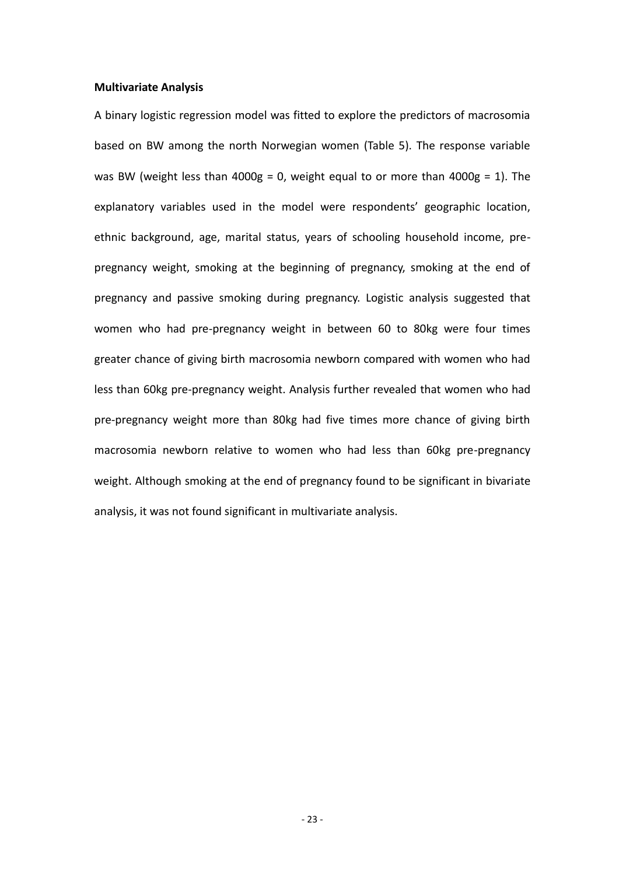#### **Multivariate Analysis**

A binary logistic regression model was fitted to explore the predictors of macrosomia based on BW among the north Norwegian women (Table 5). The response variable was BW (weight less than 4000g = 0, weight equal to or more than 4000g = 1). The explanatory variables used in the model were respondents' geographic location, ethnic background, age, marital status, years of schooling household income, prepregnancy weight, smoking at the beginning of pregnancy, smoking at the end of pregnancy and passive smoking during pregnancy. Logistic analysis suggested that women who had pre-pregnancy weight in between 60 to 80kg were four times greater chance of giving birth macrosomia newborn compared with women who had less than 60kg pre-pregnancy weight. Analysis further revealed that women who had pre-pregnancy weight more than 80kg had five times more chance of giving birth macrosomia newborn relative to women who had less than 60kg pre-pregnancy weight. Although smoking at the end of pregnancy found to be significant in bivariate analysis, it was not found significant in multivariate analysis.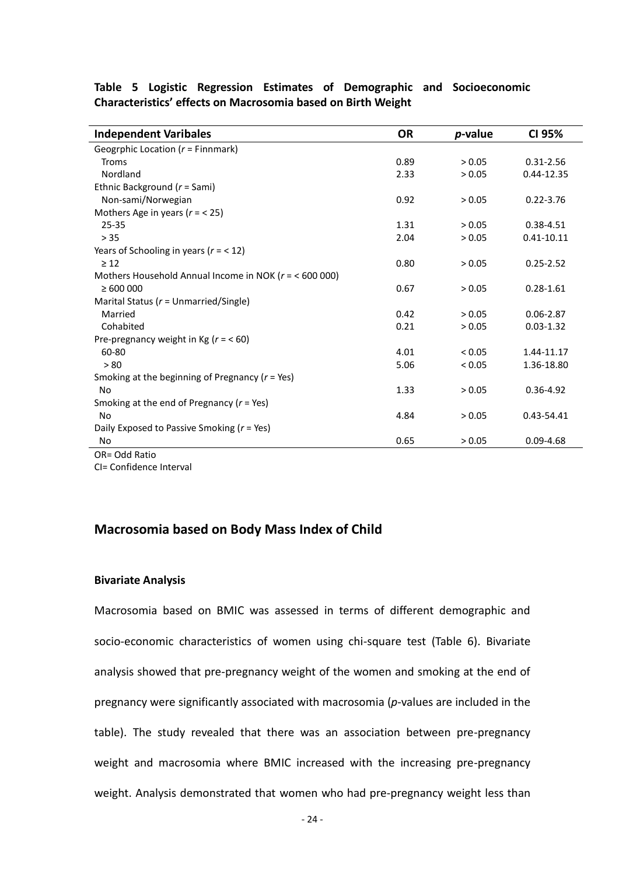| <b>Independent Varibales</b>                            | <b>OR</b> | <i>p</i> -value | CI 95%         |
|---------------------------------------------------------|-----------|-----------------|----------------|
| Geogrphic Location ( $r =$ Finnmark)                    |           |                 |                |
| <b>Troms</b>                                            | 0.89      | > 0.05          | $0.31 - 2.56$  |
| Nordland                                                | 2.33      | > 0.05          | 0.44-12.35     |
| Ethnic Background ( $r =$ Sami)                         |           |                 |                |
| Non-sami/Norwegian                                      | 0.92      | > 0.05          | $0.22 - 3.76$  |
| Mothers Age in years ( $r = 25$ )                       |           |                 |                |
| $25 - 35$                                               | 1.31      | > 0.05          | $0.38 - 4.51$  |
| > 35                                                    | 2.04      | > 0.05          | $0.41 - 10.11$ |
| Years of Schooling in years ( $r = 12$ )                |           |                 |                |
| $\geq 12$                                               | 0.80      | > 0.05          | $0.25 - 2.52$  |
| Mothers Household Annual Income in NOK ( $r = 600000$ ) |           |                 |                |
| $\geq 600000$                                           | 0.67      | > 0.05          | $0.28 - 1.61$  |
| Marital Status ( $r =$ Unmarried/Single)                |           |                 |                |
| Married                                                 | 0.42      | > 0.05          | $0.06 - 2.87$  |
| Cohabited                                               | 0.21      | > 0.05          | $0.03 - 1.32$  |
| Pre-pregnancy weight in Kg ( $r = 60$ )                 |           |                 |                |
| 60-80                                                   | 4.01      | < 0.05          | 1.44-11.17     |
| > 80                                                    | 5.06      | < 0.05          | 1.36-18.80     |
| Smoking at the beginning of Pregnancy ( $r = Yes$ )     |           |                 |                |
| <b>No</b>                                               | 1.33      | > 0.05          | $0.36 - 4.92$  |
| Smoking at the end of Pregnancy ( $r = Yes$ )           |           |                 |                |
| <b>No</b>                                               | 4.84      | > 0.05          | 0.43-54.41     |
| Daily Exposed to Passive Smoking ( $r = Yes$ )          |           |                 |                |
| No                                                      | 0.65      | > 0.05          | $0.09 - 4.68$  |

**Table 5 Logistic Regression Estimates of Demographic and Socioeconomic Characteristics' effects on Macrosomia based on Birth Weight**

OR= Odd Ratio

CI= Confidence Interval

## **Macrosomia based on Body Mass Index of Child**

#### **Bivariate Analysis**

Macrosomia based on BMIC was assessed in terms of different demographic and socio-economic characteristics of women using chi-square test (Table 6). Bivariate analysis showed that pre-pregnancy weight of the women and smoking at the end of pregnancy were significantly associated with macrosomia (*p*-values are included in the table). The study revealed that there was an association between pre-pregnancy weight and macrosomia where BMIC increased with the increasing pre-pregnancy weight. Analysis demonstrated that women who had pre-pregnancy weight less than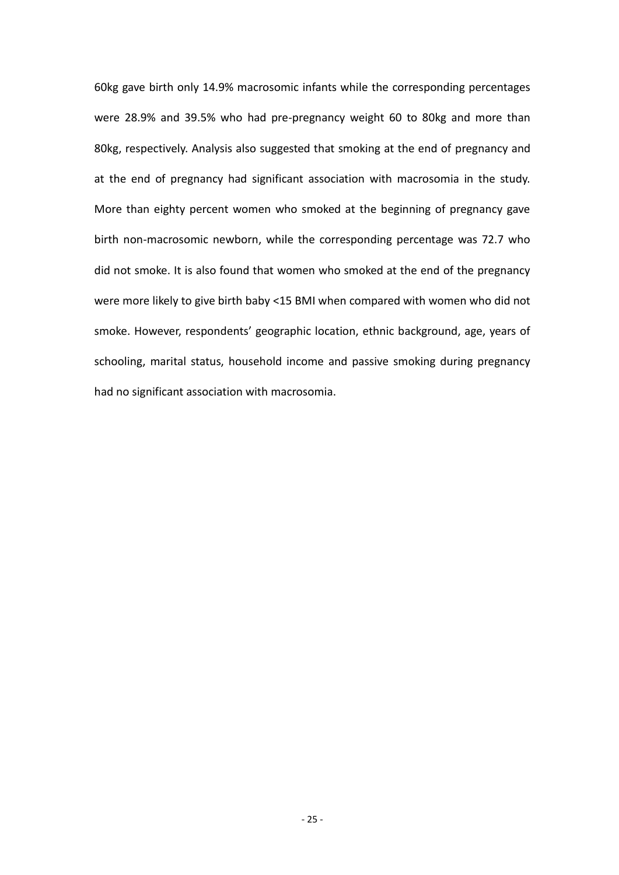60kg gave birth only 14.9% macrosomic infants while the corresponding percentages were 28.9% and 39.5% who had pre-pregnancy weight 60 to 80kg and more than 80kg, respectively. Analysis also suggested that smoking at the end of pregnancy and at the end of pregnancy had significant association with macrosomia in the study. More than eighty percent women who smoked at the beginning of pregnancy gave birth non-macrosomic newborn, while the corresponding percentage was 72.7 who did not smoke. It is also found that women who smoked at the end of the pregnancy were more likely to give birth baby <15 BMI when compared with women who did not smoke. However, respondents' geographic location, ethnic background, age, years of schooling, marital status, household income and passive smoking during pregnancy had no significant association with macrosomia.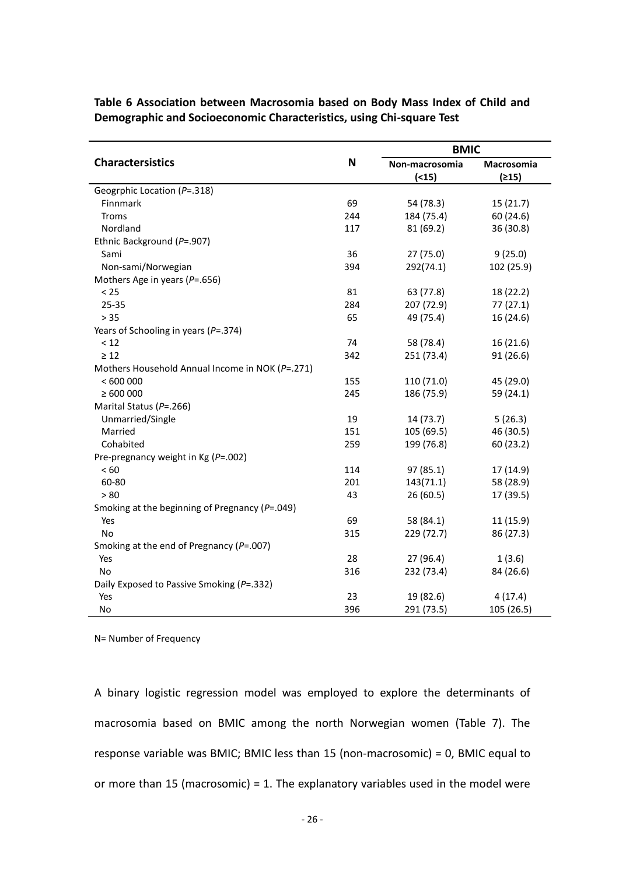|                                                      |             | <b>BMIC</b>    |            |  |
|------------------------------------------------------|-------------|----------------|------------|--|
| <b>Charactersistics</b>                              | $\mathbf N$ | Non-macrosomia | Macrosomia |  |
|                                                      |             | ( < 15)        | (215)      |  |
| Geogrphic Location (P=.318)                          |             |                |            |  |
| Finnmark                                             | 69          | 54 (78.3)      | 15(21.7)   |  |
| Troms                                                | 244         | 184 (75.4)     | 60 (24.6)  |  |
| Nordland                                             | 117         | 81 (69.2)      | 36 (30.8)  |  |
| Ethnic Background (P=.907)                           |             |                |            |  |
| Sami                                                 | 36          | 27 (75.0)      | 9(25.0)    |  |
| Non-sami/Norwegian                                   | 394         | 292(74.1)      | 102 (25.9) |  |
| Mothers Age in years ( $P = .656$ )                  |             |                |            |  |
| < 25                                                 | 81          | 63 (77.8)      | 18 (22.2)  |  |
| 25-35                                                | 284         | 207 (72.9)     | 77(27.1)   |  |
| $> 35$                                               | 65          | 49 (75.4)      | 16 (24.6)  |  |
| Years of Schooling in years ( $P = 0.374$ )          |             |                |            |  |
| < 12                                                 | 74          | 58 (78.4)      | 16(21.6)   |  |
| $\geq 12$                                            | 342         | 251 (73.4)     | 91(26.6)   |  |
| Mothers Household Annual Income in NOK (P=.271)      |             |                |            |  |
| < 600000                                             | 155         | 110 (71.0)     | 45 (29.0)  |  |
| $\geq 600000$                                        | 245         | 186 (75.9)     | 59 (24.1)  |  |
| Marital Status (P=.266)                              |             |                |            |  |
| Unmarried/Single                                     | 19          | 14 (73.7)      | 5(26.3)    |  |
| Married                                              | 151         | 105 (69.5)     | 46 (30.5)  |  |
| Cohabited                                            | 259         | 199 (76.8)     | 60 (23.2)  |  |
| Pre-pregnancy weight in Kg ( $P = .002$ )            |             |                |            |  |
| < 60                                                 | 114         | 97 (85.1)      | 17 (14.9)  |  |
| 60-80                                                | 201         | 143(71.1)      | 58 (28.9)  |  |
| > 80                                                 | 43          | 26(60.5)       | 17 (39.5)  |  |
| Smoking at the beginning of Pregnancy ( $P = .049$ ) |             |                |            |  |
| Yes                                                  | 69          | 58 (84.1)      | 11 (15.9)  |  |
| No                                                   | 315         | 229 (72.7)     | 86 (27.3)  |  |
| Smoking at the end of Pregnancy ( $P = .007$ )       |             |                |            |  |
| Yes                                                  | 28          | 27 (96.4)      | 1(3.6)     |  |
| No                                                   | 316         | 232 (73.4)     | 84 (26.6)  |  |
| Daily Exposed to Passive Smoking (P=.332)            |             |                |            |  |
| Yes                                                  | 23          | 19 (82.6)      | 4(17.4)    |  |
| No                                                   | 396         | 291 (73.5)     | 105 (26.5) |  |

**Table 6 Association between Macrosomia based on Body Mass Index of Child and Demographic and Socioeconomic Characteristics, using Chi-square Test**

N= Number of Frequency

A binary logistic regression model was employed to explore the determinants of macrosomia based on BMIC among the north Norwegian women (Table 7). The response variable was BMIC; BMIC less than 15 (non-macrosomic) = 0, BMIC equal to or more than 15 (macrosomic) = 1. The explanatory variables used in the model were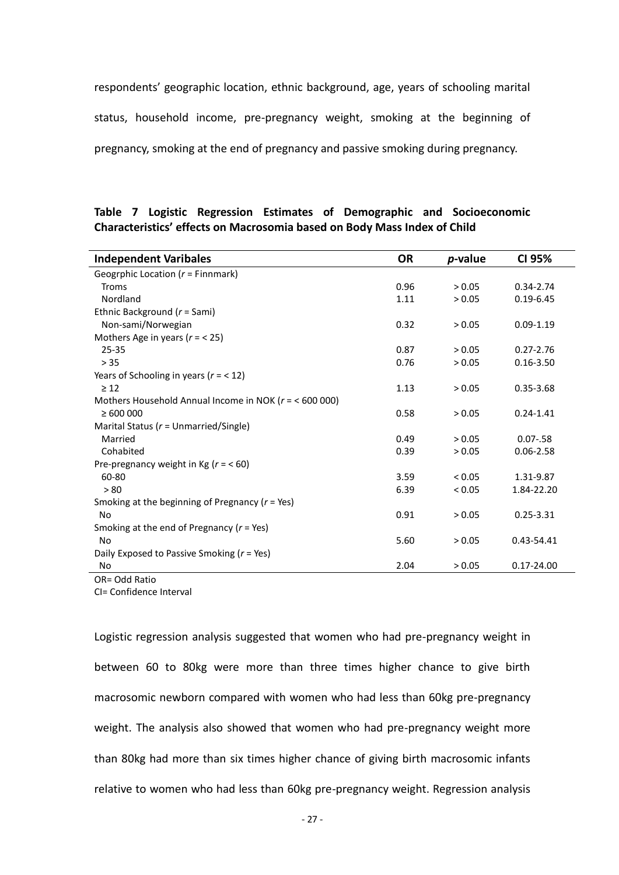respondents' geographic location, ethnic background, age, years of schooling marital status, household income, pre-pregnancy weight, smoking at the beginning of pregnancy, smoking at the end of pregnancy and passive smoking during pregnancy.

|                                                                                 |  |  |  |  |  |  |  | Table 7 Logistic Regression Estimates of Demographic and Socioeconomic |
|---------------------------------------------------------------------------------|--|--|--|--|--|--|--|------------------------------------------------------------------------|
| <b>Characteristics' effects on Macrosomia based on Body Mass Index of Child</b> |  |  |  |  |  |  |  |                                                                        |

| <b>Independent Varibales</b>                           | <b>OR</b> | <i>p</i> -value | CI 95%         |
|--------------------------------------------------------|-----------|-----------------|----------------|
| Geogrphic Location ( $r =$ Finnmark)                   |           |                 |                |
| <b>Troms</b>                                           | 0.96      | > 0.05          | $0.34 - 2.74$  |
| Nordland                                               | 1.11      | > 0.05          | $0.19 - 6.45$  |
| Ethnic Background ( $r =$ Sami)                        |           |                 |                |
| Non-sami/Norwegian                                     | 0.32      | > 0.05          | $0.09 - 1.19$  |
| Mothers Age in years ( $r = 25$ )                      |           |                 |                |
| $25 - 35$                                              | 0.87      | > 0.05          | $0.27 - 2.76$  |
| $>35$                                                  | 0.76      | > 0.05          | $0.16 - 3.50$  |
| Years of Schooling in years ( $r = 12$ )               |           |                 |                |
| $\geq 12$                                              | 1.13      | > 0.05          | $0.35 - 3.68$  |
| Mothers Household Annual Income in NOK (r = < 600 000) |           |                 |                |
| $\geq 600000$                                          | 0.58      | > 0.05          | $0.24 - 1.41$  |
| Marital Status ( $r =$ Unmarried/Single)               |           |                 |                |
| Married                                                | 0.49      | > 0.05          | $0.07 - 58$    |
| Cohabited                                              | 0.39      | > 0.05          | $0.06 - 2.58$  |
| Pre-pregnancy weight in Kg ( $r = < 60$ )              |           |                 |                |
| 60-80                                                  | 3.59      | < 0.05          | 1.31-9.87      |
| > 80                                                   | 6.39      | < 0.05          | 1.84-22.20     |
| Smoking at the beginning of Pregnancy ( $r = Yes$ )    |           |                 |                |
| No                                                     | 0.91      | > 0.05          | $0.25 - 3.31$  |
| Smoking at the end of Pregnancy ( $r = Yes$ )          |           |                 |                |
| N <sub>o</sub>                                         | 5.60      | > 0.05          | 0.43-54.41     |
| Daily Exposed to Passive Smoking ( $r = Yes$ )         |           |                 |                |
| No                                                     | 2.04      | > 0.05          | $0.17 - 24.00$ |
| OR= Odd Ratio                                          |           |                 |                |

CI= Confidence Interval

Logistic regression analysis suggested that women who had pre-pregnancy weight in between 60 to 80kg were more than three times higher chance to give birth macrosomic newborn compared with women who had less than 60kg pre-pregnancy weight. The analysis also showed that women who had pre-pregnancy weight more than 80kg had more than six times higher chance of giving birth macrosomic infants relative to women who had less than 60kg pre-pregnancy weight. Regression analysis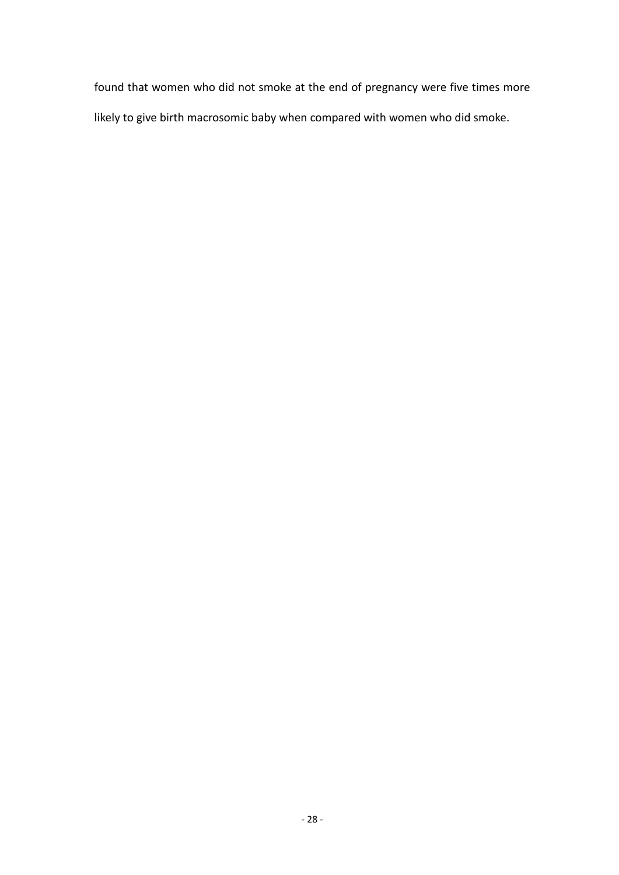found that women who did not smoke at the end of pregnancy were five times more likely to give birth macrosomic baby when compared with women who did smoke.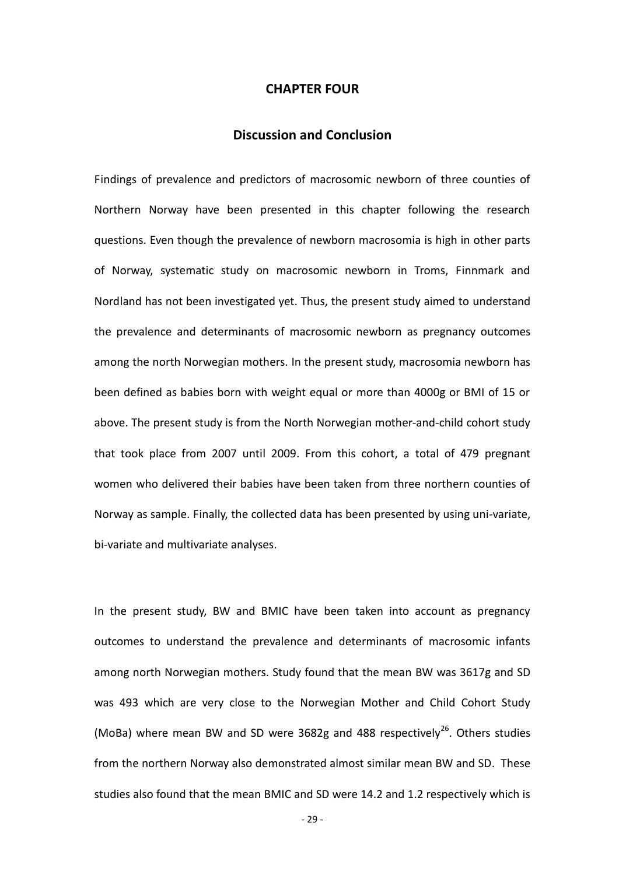#### **CHAPTER FOUR**

#### **Discussion and Conclusion**

Findings of prevalence and predictors of macrosomic newborn of three counties of Northern Norway have been presented in this chapter following the research questions. Even though the prevalence of newborn macrosomia is high in other parts of Norway, systematic study on macrosomic newborn in Troms, Finnmark and Nordland has not been investigated yet. Thus, the present study aimed to understand the prevalence and determinants of macrosomic newborn as pregnancy outcomes among the north Norwegian mothers. In the present study, macrosomia newborn has been defined as babies born with weight equal or more than 4000g or BMI of 15 or above. The present study is from the North Norwegian mother-and-child cohort study that took place from 2007 until 2009. From this cohort, a total of 479 pregnant women who delivered their babies have been taken from three northern counties of Norway as sample. Finally, the collected data has been presented by using uni-variate, bi-variate and multivariate analyses.

In the present study, BW and BMIC have been taken into account as pregnancy outcomes to understand the prevalence and determinants of macrosomic infants among north Norwegian mothers. Study found that the mean BW was 3617g and SD was 493 which are very close to the Norwegian Mother and Child Cohort Study (MoBa) where mean BW and SD were 3682g and 488 respectively<sup>26</sup>. Others studies from the northern Norway also demonstrated almost similar mean BW and SD. These studies also found that the mean BMIC and SD were 14.2 and 1.2 respectively which is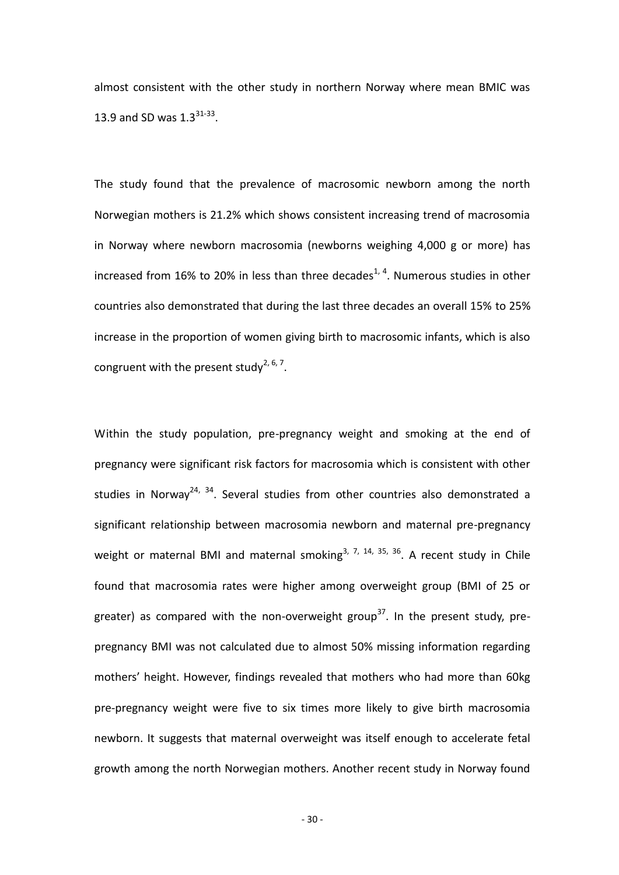almost consistent with the other study in northern Norway where mean BMIC was 13.9 and SD was  $1.3^{31-33}$ .

The study found that the prevalence of macrosomic newborn among the north Norwegian mothers is 21.2% which shows consistent increasing trend of macrosomia in Norway where newborn macrosomia (newborns weighing 4,000 g or more) has increased from 16% to 20% in less than three decades<sup>1, 4</sup>. Numerous studies in other countries also demonstrated that during the last three decades an overall 15% to 25% increase in the proportion of women giving birth to macrosomic infants, which is also congruent with the present study<sup>2, 6, 7</sup>.

Within the study population, pre-pregnancy weight and smoking at the end of pregnancy were significant risk factors for macrosomia which is consistent with other studies in Norway<sup>24, 34</sup>. Several studies from other countries also demonstrated a significant relationship between macrosomia newborn and maternal pre-pregnancy weight or maternal BMI and maternal smoking<sup>3, 7, 14, 35, 36</sup>. A recent study in Chile found that macrosomia rates were higher among overweight group (BMI of 25 or greater) as compared with the non-overweight group<sup>37</sup>. In the present study, prepregnancy BMI was not calculated due to almost 50% missing information regarding mothers' height. However, findings revealed that mothers who had more than 60kg pre-pregnancy weight were five to six times more likely to give birth macrosomia newborn. It suggests that maternal overweight was itself enough to accelerate fetal growth among the north Norwegian mothers. Another recent study in Norway found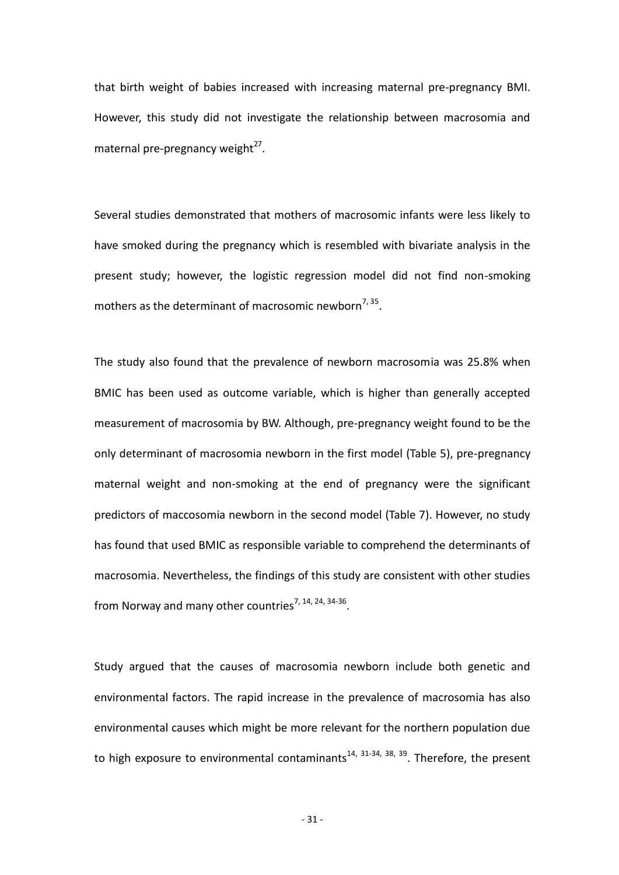that birth weight of babies increased with increasing maternal pre-pregnancy BMI. However, this study did not investigate the relationship between macrosomia and maternal pre-pregnancy weight<sup>27</sup>.

Several studies demonstrated that mothers of macrosomic infants were less likely to have smoked during the pregnancy which is resembled with bivariate analysis in the present study; however, the logistic regression model did not find non-smoking mothers as the determinant of macrosomic newborn<sup>7, 35</sup>.

The study also found that the prevalence of newborn macrosomia was 25.8% when BMIC has been used as outcome variable, which is higher than generally accepted measurement of macrosomia by BW. Although, pre-pregnancy weight found to be the only determinant of macrosomia newborn in the first model (Table 5), pre-pregnancy maternal weight and non-smoking at the end of pregnancy were the significant predictors of maccosomia newborn in the second model (Table 7). However, no study has found that used BMIC as responsible variable to comprehend the determinants of macrosomia. Nevertheless, the findings of this study are consistent with other studies from Norway and many other countries<sup>7, 14, 24, 34-36</sup>.

Study argued that the causes of macrosomia newborn include both genetic and environmental factors. The rapid increase in the prevalence of macrosomia has also environmental causes which might be more relevant for the northern population due to high exposure to environmental contaminants<sup>14, 31-34, 38, 39</sup>. Therefore, the present

- 31 -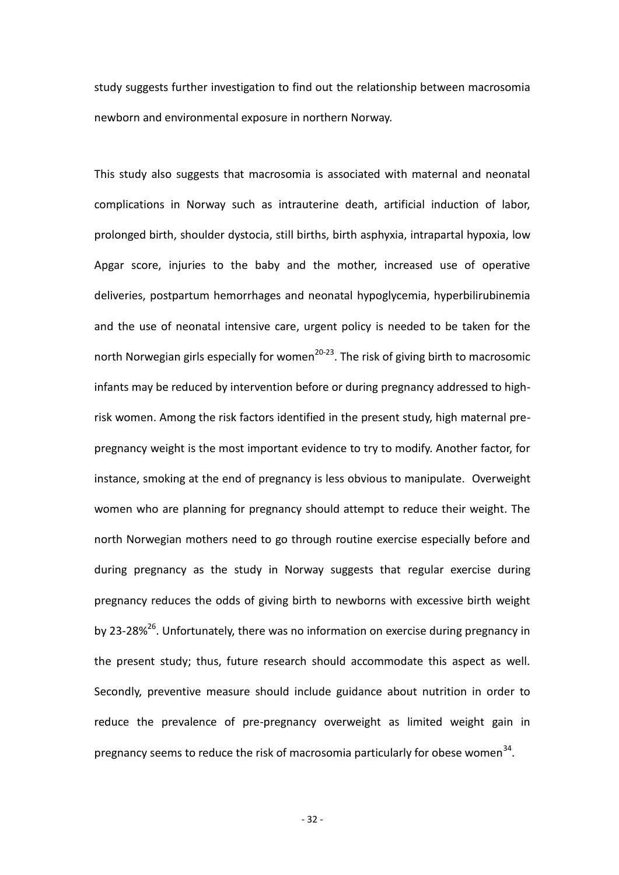study suggests further investigation to find out the relationship between macrosomia newborn and environmental exposure in northern Norway.

This study also suggests that macrosomia is associated with maternal and neonatal complications in Norway such as intrauterine death, artificial induction of labor, prolonged birth, shoulder dystocia, still births, birth asphyxia, intrapartal hypoxia, low Apgar score, injuries to the baby and the mother, increased use of operative deliveries, postpartum hemorrhages and neonatal hypoglycemia, hyperbilirubinemia and the use of neonatal intensive care, urgent policy is needed to be taken for the north Norwegian girls especially for women<sup>20-23</sup>. The risk of giving birth to macrosomic infants may be reduced by intervention before or during pregnancy addressed to highrisk women. Among the risk factors identified in the present study, high maternal prepregnancy weight is the most important evidence to try to modify. Another factor, for instance, smoking at the end of pregnancy is less obvious to manipulate. Overweight women who are planning for pregnancy should attempt to reduce their weight. The north Norwegian mothers need to go through routine exercise especially before and during pregnancy as the study in Norway suggests that regular exercise during pregnancy reduces the odds of giving birth to newborns with excessive birth weight by 23-28%<sup>26</sup>. Unfortunately, there was no information on exercise during pregnancy in the present study; thus, future research should accommodate this aspect as well. Secondly, preventive measure should include guidance about nutrition in order to reduce the prevalence of pre-pregnancy overweight as limited weight gain in pregnancy seems to reduce the risk of macrosomia particularly for obese women<sup>34</sup>.

- 32 -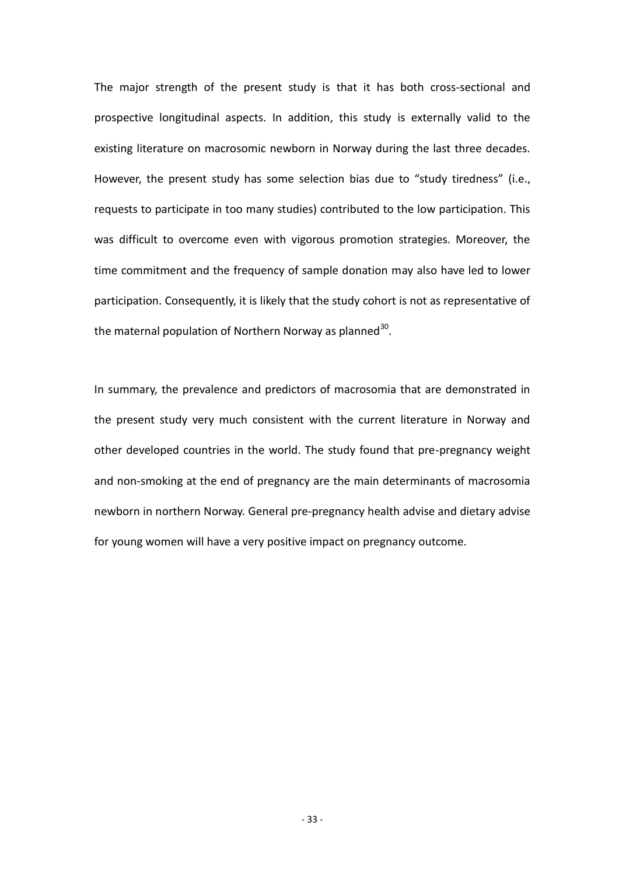The major strength of the present study is that it has both cross-sectional and prospective longitudinal aspects. In addition, this study is externally valid to the existing literature on macrosomic newborn in Norway during the last three decades. However, the present study has some selection bias due to "study tiredness" (i.e., requests to participate in too many studies) contributed to the low participation. This was difficult to overcome even with vigorous promotion strategies. Moreover, the time commitment and the frequency of sample donation may also have led to lower participation. Consequently, it is likely that the study cohort is not as representative of the maternal population of Northern Norway as planned<sup>30</sup>.

In summary, the prevalence and predictors of macrosomia that are demonstrated in the present study very much consistent with the current literature in Norway and other developed countries in the world. The study found that pre-pregnancy weight and non-smoking at the end of pregnancy are the main determinants of macrosomia newborn in northern Norway. General pre-pregnancy health advise and dietary advise for young women will have a very positive impact on pregnancy outcome.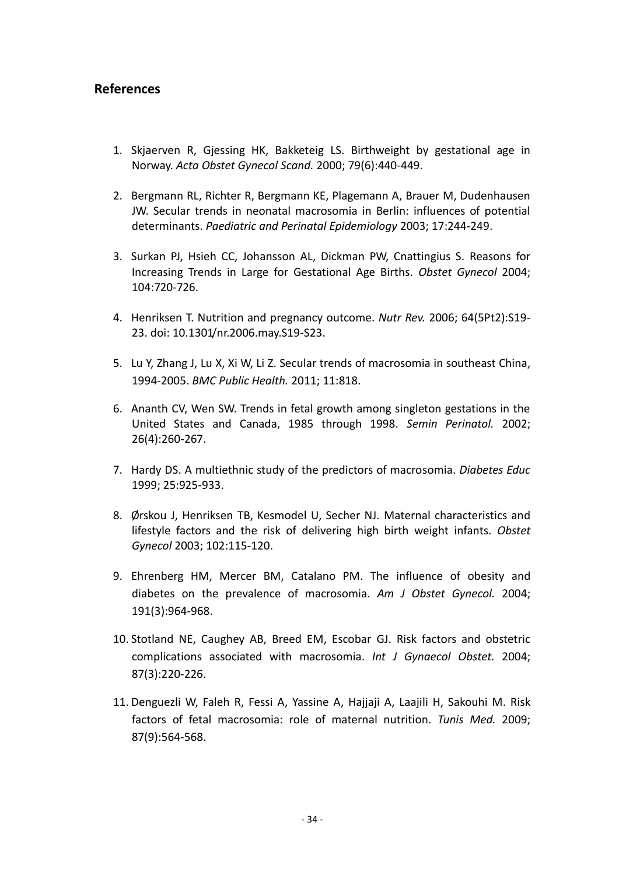## **References**

- 1. Skjaerven R, Gjessing HK, Bakketeig LS. Birthweight by gestational age in Norway. *Acta Obstet Gynecol Scand.* 2000; 79(6):440-449.
- 2. Bergmann RL, Richter R, Bergmann KE, Plagemann A, Brauer M, Dudenhausen JW. Secular trends in neonatal macrosomia in Berlin: influences of potential determinants. *Paediatric and Perinatal Epidemiology* 2003; 17:244-249.
- 3. Surkan PJ, Hsieh CC, Johansson AL, Dickman PW, Cnattingius S. Reasons for Increasing Trends in Large for Gestational Age Births. *Obstet Gynecol* 2004; 104:720-726.
- 4. Henriksen T. Nutrition and pregnancy outcome. *Nutr Rev.* 2006; 64(5Pt2):S19- 23. doi: 10.1301/nr.2006.may.S19-S23.
- 5. [Lu Y, Zhang J, Lu X, Xi W, Li Z.](http://www.ncbi.nlm.nih.gov/pubmed?term=) Secular trends of macrosomia in southeast China, 1994-2005. *[BMC Public Health.](http://www.ncbi.nlm.nih.gov/pubmed?term=Secular%20trends%20of%20macrosomia%20in%20southeast%20China%2C%201994-2005)* 2011; 11:818.
- 6. Ananth CV, Wen SW. Trends in fetal growth among singleton gestations in the United States and Canada, 1985 through 1998. *Semin Perinatol.* 2002; 26(4):260-267.
- 7. Hardy DS. A multiethnic study of the predictors of macrosomia. *Diabetes Educ* 1999; 25:925-933.
- 8. Ørskou J, Henriksen TB, Kesmodel U, Secher NJ. Maternal characteristics and lifestyle factors and the risk of delivering high birth weight infants. *Obstet Gynecol* 2003; 102:115-120.
- 9. [Ehrenberg HM,](http://www.ncbi.nlm.nih.gov/pubmed?term=) [Mercer BM,](http://www.ncbi.nlm.nih.gov/pubmed?term=) [Catalano PM.](http://www.ncbi.nlm.nih.gov/pubmed?term=) The influence of obesity and diabetes on the prevalence of macrosomia. *[Am J Obstet Gynecol.](http://www.ncbi.nlm.nih.gov/pubmed/15467573)* 2004; 191(3):964-968.
- 10. [Stotland NE, Caughey AB, Breed EM,](http://www.ncbi.nlm.nih.gov/pubmed?term=) [Escobar GJ.](http://www.ncbi.nlm.nih.gov/pubmed?term=) Risk factors and obstetric complications associated with macrosomia. *[Int J Gynaecol Obstet.](http://www.ncbi.nlm.nih.gov/pubmed/15548393)* 2004; 87(3):220-226.
- 11. [Denguezli W, Faleh R, Fessi A, Yassine A, Hajjaji A, Laajili H, Sakouhi M.](http://www.ncbi.nlm.nih.gov/pubmed?term=) Risk factors of fetal macrosomia: role of maternal nutrition. *[Tunis Med.](http://www.ncbi.nlm.nih.gov/pubmed/20180374)* 2009; 87(9):564-568.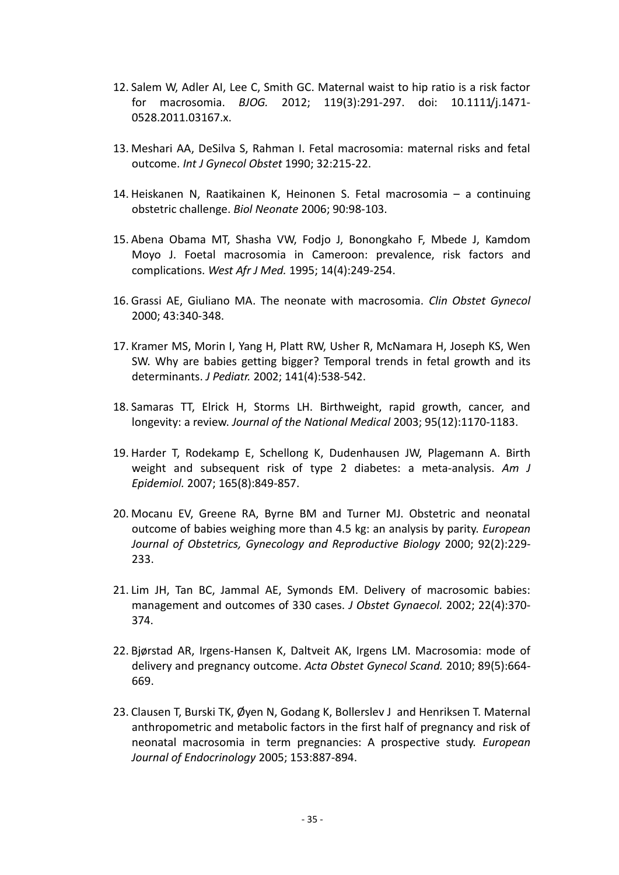- 12. [Salem W, Adler AI, Lee C, Smith GC.](http://www.ncbi.nlm.nih.gov/pubmed?term=) Maternal waist to hip ratio is a risk factor for macrosomia. *[BJOG.](http://www.ncbi.nlm.nih.gov/pubmed/22004312)* 2012; 119(3):291-297. doi: 10.1111/j.1471- 0528.2011.03167.x.
- 13. Meshari AA, DeSilva S, Rahman I. Fetal macrosomia: maternal risks and fetal outcome. *Int J Gynecol Obstet* 1990; 32:215-22.
- 14. Heiskanen N, Raatikainen K, Heinonen S. Fetal macrosomia a continuing obstetric challenge. *Biol Neonate* 2006; 90:98-103.
- 15. [Abena Obama MT, Shasha VW,](http://www.ncbi.nlm.nih.gov/pubmed?term=) [Fodjo J, Bonongkaho F,](http://www.ncbi.nlm.nih.gov/pubmed?term=) [Mbede J, Kamdom](http://www.ncbi.nlm.nih.gov/pubmed?term=)  [Moyo J.](http://www.ncbi.nlm.nih.gov/pubmed?term=) Foetal macrosomia in Cameroon: prevalence, risk factors and complications. *[West Afr J Med.](http://www.ncbi.nlm.nih.gov/pubmed/8634233)* 1995; 14(4):249-254.
- 16. Grassi AE, Giuliano MA. The neonate with macrosomia. *Clin Obstet Gynecol* 2000; 43:340-348.
- 17. [Kramer MS, Morin I, Yang H, Platt RW, Usher R, McNamara H, Joseph KS, Wen](http://www.ncbi.nlm.nih.gov/pubmed?term=)  [SW.](http://www.ncbi.nlm.nih.gov/pubmed?term=) Why are babies getting bigger? Temporal trends in fetal growth and its determinants. *[J Pediatr.](http://www.ncbi.nlm.nih.gov/pubmed?term=Why%20are%20babies%20getting%20bigger%3F%20Temporal%20trends%20in%20fetal%20growth%20and%20its%20determinants)* 2002; 141(4):538-542.
- 18. Samaras TT, Elrick H, Storms LH. Birthweight, rapid growth, cancer, and longevity: a review. *Journal of the National Medical* 2003; 95(12):1170-1183.
- 19. [Harder T,](http://www.ncbi.nlm.nih.gov/pubmed?term=) [Rodekamp E,](http://www.ncbi.nlm.nih.gov/pubmed?term=) [Schellong K, Dudenhausen JW,](http://www.ncbi.nlm.nih.gov/pubmed?term=) [Plagemann A.](http://www.ncbi.nlm.nih.gov/pubmed?term=) Birth weight and subsequent risk of type 2 diabetes: a meta-analysis. *[Am J](http://www.ncbi.nlm.nih.gov/pubmed/17215379)  [Epidemiol.](http://www.ncbi.nlm.nih.gov/pubmed/17215379)* 2007; 165(8):849-857.
- 20. Mocanu EV, Greene RA, Byrne BM and Turner MJ. Obstetric and neonatal outcome of babies weighing more than 4.5 kg: an analysis by parity. *European Journal of Obstetrics, Gynecology and Reproductive Biology* 2000; 92(2):229- 233.
- 21. Lim JH, Tan BC, Jammal AE, Symonds EM. Delivery of macrosomic babies: management and outcomes of 330 cases. *J Obstet Gynaecol.* 2002; 22(4):370- 374.
- 22. [Bjørstad AR, Irgens-Hansen K, Daltveit AK, Irgens LM.](http://www.ncbi.nlm.nih.gov/pubmed?term=) Macrosomia: mode of delivery and pregnancy outcome. *[Acta Obstet Gynecol Scand.](http://www.ncbi.nlm.nih.gov/pubmed/20235897)* 2010; 89(5):664- 669.
- 23. Clausen T, Burski TK, Øyen N, Godang K, Bollerslev J and Henriksen T. Maternal anthropometric and metabolic factors in the first half of pregnancy and risk of neonatal macrosomia in term pregnancies: A prospective study. *European Journal of Endocrinology* 2005; 153:887-894.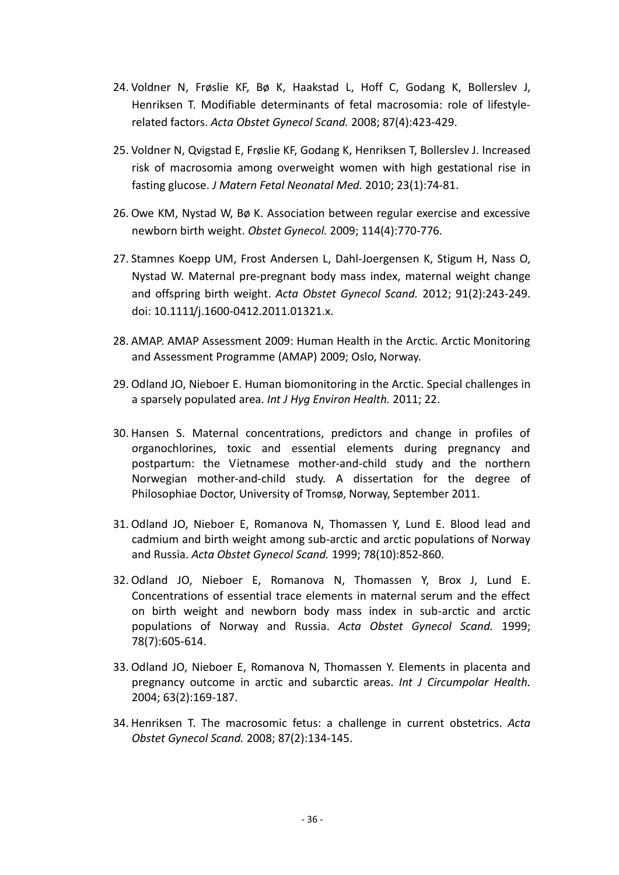- 24. [Voldner N,](http://www.ncbi.nlm.nih.gov/pubmed?term=) [Frøslie KF,](http://www.ncbi.nlm.nih.gov/pubmed?term=) [Bø K,](http://www.ncbi.nlm.nih.gov/pubmed?term=) [Haakstad L,](http://www.ncbi.nlm.nih.gov/pubmed?term=) [Hoff C,](http://www.ncbi.nlm.nih.gov/pubmed?term=) [Godang K,](http://www.ncbi.nlm.nih.gov/pubmed?term=) [Bollerslev J,](http://www.ncbi.nlm.nih.gov/pubmed?term=) [Henriksen T.](http://www.ncbi.nlm.nih.gov/pubmed?term=) Modifiable determinants of fetal macrosomia: role of lifestylerelated factors. *[Acta Obstet Gynecol Scand.](http://www.ncbi.nlm.nih.gov/pubmed?term=Modifiable%20determinants%20of%20fetal%20macrosomia%3A%20role%20of%20lifestyle-related%20factors)* 2008; 87(4):423-429.
- 25. [Voldner N, Qvigstad E, Frøslie KF, Godang K, Henriksen T, Bollerslev J.](http://www.ncbi.nlm.nih.gov/pubmed?term=) Increased risk of macrosomia among overweight women with high gestational rise in fasting glucose. *[J Matern Fetal Neonatal Med.](http://www.ncbi.nlm.nih.gov/pubmed?term=Increased%20risk%20of%20macrosomia%20among%20overweight%20women%20with%20high%20gestational%20rise%20in%20fasting%20glucose)* 2010; 23(1):74-81.
- 26. [Owe KM, Nystad W, Bø K.](http://www.ncbi.nlm.nih.gov/pubmed?term=) Association between regular exercise and excessive newborn birth weight. *[Obstet Gynecol.](http://www.ncbi.nlm.nih.gov/pubmed/19888034)* 2009; 114(4):770-776.
- 27. [Stamnes Koepp UM, Frost Andersen L, Dahl-Joergensen K, Stigum H, Nass O,](http://www.ncbi.nlm.nih.gov/pubmed?term=) [Nystad W.](http://www.ncbi.nlm.nih.gov/pubmed?term=) Maternal pre-pregnant body mass index, maternal weight change and offspring birth weight. *[Acta Obstet Gynecol Scand.](http://www.ncbi.nlm.nih.gov/pubmed/22077818)* 2012; 91(2):243-249. doi: 10.1111/j.1600-0412.2011.01321.x.
- 28. AMAP. AMAP Assessment 2009: Human Health in the Arctic. Arctic Monitoring and Assessment Programme (AMAP) 2009; Oslo, Norway.
- 29. [Odland JO, Nieboer E.](http://www.ncbi.nlm.nih.gov/pubmed?term=) Human biomonitoring in the Arctic. Special challenges in a sparsely populated area. *[Int J Hyg Environ Health.](http://www.ncbi.nlm.nih.gov/pubmed?term=Human%20biomonitoring%20in%20the%20Arctic.%20Special%20challenges%20in%20a%20sparsely%20populated%20area)* 2011; 22.
- 30. Hansen S. Maternal concentrations, predictors and change in profiles of organochlorines, toxic and essential elements during pregnancy and postpartum: the Vietnamese mother-and-child study and the northern Norwegian mother-and-child study. A dissertation for the degree of Philosophiae Doctor, University of Tromsø, Norway, September 2011.
- 31. [Odland JO,](http://www.ncbi.nlm.nih.gov/pubmed?term=) [Nieboer E, Romanova N,](http://www.ncbi.nlm.nih.gov/pubmed?term=) [Thomassen Y,](http://www.ncbi.nlm.nih.gov/pubmed?term=) [Lund E.](http://www.ncbi.nlm.nih.gov/pubmed?term=) Blood lead and cadmium and birth weight among sub-arctic and arctic populations of Norway and Russia. *[Acta Obstet Gynecol Scand.](http://www.ncbi.nlm.nih.gov/pubmed?term=Blood%20lead%20and%20cadmium%20and%20birth%20weight%20among%20sub-arctic%20and%20arctic%20populations%20of%20Norway%20and%20Russia)* 1999; 78(10):852-860.
- 32. [Odland JO,](http://www.ncbi.nlm.nih.gov/pubmed?term=) [Nieboer E,](http://www.ncbi.nlm.nih.gov/pubmed?term=) [Romanova N,](http://www.ncbi.nlm.nih.gov/pubmed?term=) [Thomassen Y,](http://www.ncbi.nlm.nih.gov/pubmed?term=) [Brox J,](http://www.ncbi.nlm.nih.gov/pubmed?term=) [Lund E.](http://www.ncbi.nlm.nih.gov/pubmed?term=) Concentrations of essential trace elements in maternal serum and the effect on birth weight and newborn body mass index in sub-arctic and arctic populations of Norway and Russia. *[Acta Obstet Gynecol Scand.](http://www.ncbi.nlm.nih.gov/pubmed?term=Concentrations%20of%20essential%20trace%20elements%20in%20maternal%20serumand%20the%20effect%20on%20birth%20weight%20and%20newborn%20body%20mass%20index%20in%20sub-arctic%20and%20arctic%20populations%20ofNorway%20and%20Russia)* 1999; 78(7):605-614.
- 33. [Odland JO, Nieboer E, Romanova](http://www.ncbi.nlm.nih.gov/pubmed?term=) N, [Thomassen Y.](http://www.ncbi.nlm.nih.gov/pubmed?term=) Elements in placenta and pregnancy outcome in arctic and subarctic areas. *[Int J Circumpolar Health.](http://www.ncbi.nlm.nih.gov/pubmed?term=ELEMENTS%20IN%20PLACENTA%20AND%20PREGNANCY%20OUTCOME%20IN%20ARCTIC%20AND%20SUBARCTIC%20AREAS)* 2004; 63(2):169-187.
- 34. [Henriksen T.](http://www.ncbi.nlm.nih.gov/pubmed?term=) The macrosomic fetus: a challenge in current obstetrics. *[Acta](http://www.ncbi.nlm.nih.gov/pubmed?term=The%20macrosomic%20fetus%3A%20a%20challenge%20in%20current%20obstetrics)  [Obstet Gynecol Scand.](http://www.ncbi.nlm.nih.gov/pubmed?term=The%20macrosomic%20fetus%3A%20a%20challenge%20in%20current%20obstetrics)* 2008; 87(2):134-145.